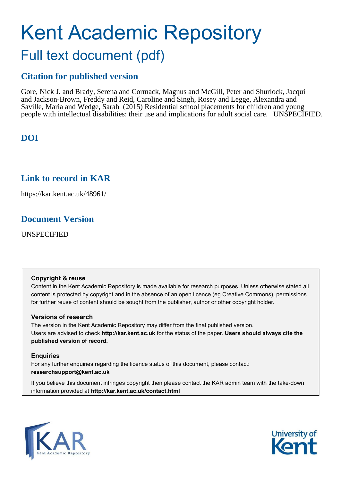# Kent Academic Repository Full text document (pdf)

# **Citation for published version**

Gore, Nick J. and Brady, Serena and Cormack, Magnus and McGill, Peter and Shurlock, Jacqui and Jackson-Brown, Freddy and Reid, Caroline and Singh, Rosey and Legge, Alexandra and Saville, Maria and Wedge, Sarah (2015) Residential school placements for children and young people with intellectual disabilities: their use and implications for adult social care. UNSPECIFIED.

# **DOI**

# **Link to record in KAR**

https://kar.kent.ac.uk/48961/

# **Document Version**

UNSPECIFIED

#### **Copyright & reuse**

Content in the Kent Academic Repository is made available for research purposes. Unless otherwise stated all content is protected by copyright and in the absence of an open licence (eg Creative Commons), permissions for further reuse of content should be sought from the publisher, author or other copyright holder.

#### **Versions of research**

The version in the Kent Academic Repository may differ from the final published version. Users are advised to check **http://kar.kent.ac.uk** for the status of the paper. **Users should always cite the published version of record.**

#### **Enquiries**

For any further enquiries regarding the licence status of this document, please contact: **researchsupport@kent.ac.uk**

If you believe this document infringes copyright then please contact the KAR admin team with the take-down information provided at **http://kar.kent.ac.uk/contact.html**



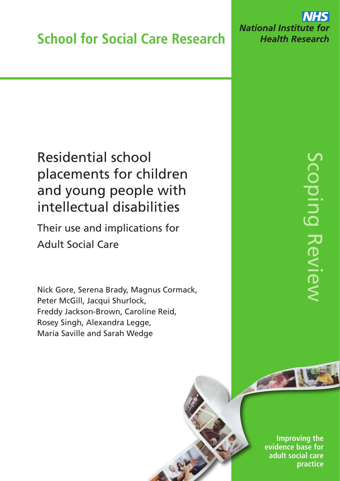**NHS National Institute for Health Research** 

# Residential school placements for children and young people with intellectual disabilities

Their use and implications for Adult Social Care

Nick Gore, Serena Brady, Magnus Cormack, Peter McGill, Jacqui Shurlock, Freddy Jackson-Brown, Caroline Reid, Rosey Singh, Alexandra Legge, Maria Saville and Sarah Wedge

**Improving the evidence base for adult social care** practice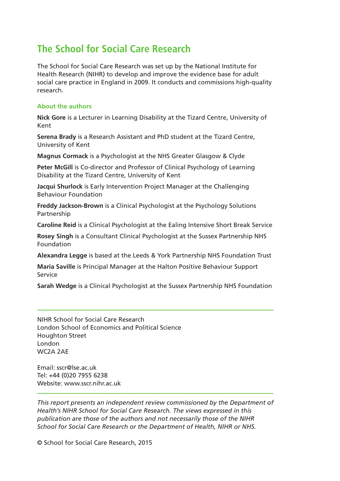# **The School for Social Care Research**

The School for Social Care Research was set up by the National Institute for Health Research (NIHR) to develop and improve the evidence base for adult social care practice in England in 2009. It conducts and commissions high-quality research.

#### **About the authors**

**Nick Gore** is a Lecturer in Learning Disability at the Tizard Centre, University of Kent

**Serena Brady** is a Research Assistant and PhD student at the Tizard Centre, University of Kent

**Magnus Cormack** is a Psychologist at the NHS Greater Glasgow & Clyde

**Peter McGill** is Co-director and Professor of Clinical Psychology of Learning Disability at the Tizard Centre, University of Kent

**Jacqui Shurlock** is Early Intervention Project Manager at the Challenging Behaviour Foundation

**Freddy Jackson-Brown** is a Clinical Psychologist at the Psychology Solutions Partnership

**Caroline Reid** is a Clinical Psychologist at the Ealing Intensive Short Break Service

**Rosey Singh** is a Consultant Clinical Psychologist at the Sussex Partnership NHS Foundation

**Alexandra Legge** is based at the Leeds & York Partnership NHS Foundation Trust

**Maria Saville** is Principal Manager at the Halton Positive Behaviour Support Service

**Sarah Wedge** is a Clinical Psychologist at the Sussex Partnership NHS Foundation

NIHR School for Social Care Research London School of Economics and Political Science Houghton Street London WC2A 2AE

Email: [sscr@lse.ac.uk](mailto:sscr@lse.ac.uk) Tel: +44 (0)20 7955 6238 Website: [www.sscr.nihr.ac.uk](http://www.sscr.nihr.ac.uk)

*This report presents an independent review commissioned by the Department of Health's NIHR School for Social Care Research. The views expressed in this publication are those of the authors and not necessarily those of the NIHR School for Social Care Research or the Department of Health, NIHR or NHS.*

© School for Social Care Research, 2015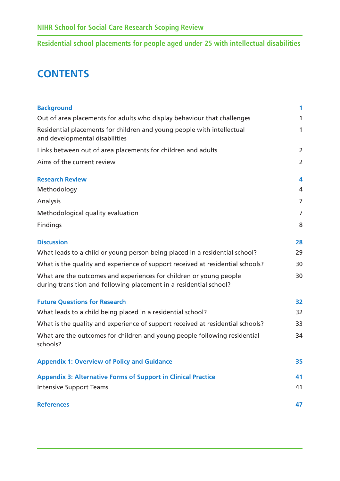# **CONTENTS**

| <b>Background</b>                                                                                                                        | 1              |
|------------------------------------------------------------------------------------------------------------------------------------------|----------------|
| Out of area placements for adults who display behaviour that challenges                                                                  | 1              |
| Residential placements for children and young people with intellectual<br>and developmental disabilities                                 | 1              |
| Links between out of area placements for children and adults                                                                             | $\overline{2}$ |
| Aims of the current review                                                                                                               | $\overline{2}$ |
| <b>Research Review</b>                                                                                                                   | 4              |
| Methodology                                                                                                                              | 4              |
| Analysis                                                                                                                                 | $\overline{7}$ |
| Methodological quality evaluation                                                                                                        | $\overline{7}$ |
| Findings                                                                                                                                 | 8              |
| <b>Discussion</b>                                                                                                                        | 28             |
| What leads to a child or young person being placed in a residential school?                                                              | 29             |
| What is the quality and experience of support received at residential schools?                                                           | 30             |
| What are the outcomes and experiences for children or young people<br>during transition and following placement in a residential school? | 30             |
| <b>Future Questions for Research</b>                                                                                                     | 32             |
| What leads to a child being placed in a residential school?                                                                              | 32             |
| What is the quality and experience of support received at residential schools?                                                           | 33             |
| What are the outcomes for children and young people following residential<br>schools?                                                    | 34             |
| <b>Appendix 1: Overview of Policy and Guidance</b>                                                                                       | 35             |
| <b>Appendix 3: Alternative Forms of Support in Clinical Practice</b>                                                                     | 41             |
| <b>Intensive Support Teams</b>                                                                                                           | 41             |
| <b>References</b>                                                                                                                        | 47             |
|                                                                                                                                          |                |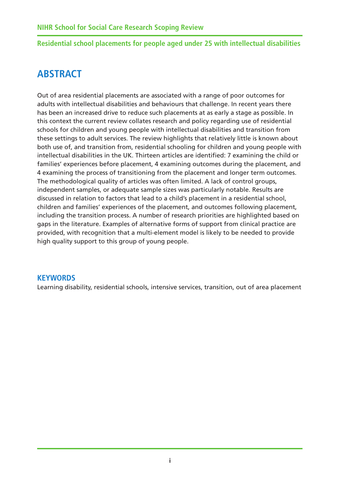# <span id="page-4-0"></span>**ABSTRACT**

Out of area residential placements are associated with a range of poor outcomes for adults with intellectual disabilities and behaviours that challenge. In recent years there has been an increased drive to reduce such placements at as early a stage as possible. In this context the current review collates research and policy regarding use of residential schools for children and young people with intellectual disabilities and transition from these settings to adult services. The review highlights that relatively little is known about both use of, and transition from, residential schooling for children and young people with intellectual disabilities in the UK. Thirteen articles are identified: 7 examining the child or families' experiences before placement, 4 examining outcomes during the placement, and 4 examining the process of transitioning from the placement and longer term outcomes. The methodological quality of articles was often limited. A lack of control groups, independent samples, or adequate sample sizes was particularly notable. Results are discussed in relation to factors that lead to a child's placement in a residential school, children and families' experiences of the placement, and outcomes following placement, including the transition process. A number of research priorities are highlighted based on gaps in the literature. Examples of alternative forms of support from clinical practice are provided, with recognition that a multi-element model is likely to be needed to provide high quality support to this group of young people.

## **KEYWORDS**

Learning disability, residential schools, intensive services, transition, out of area placement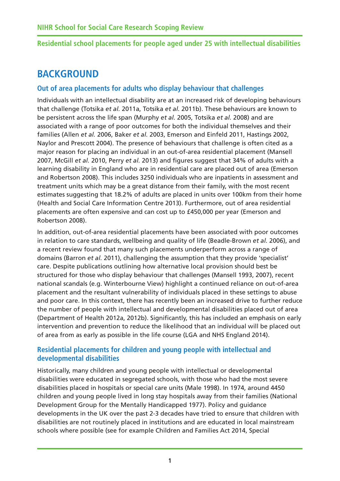# <span id="page-5-0"></span>**BACKGROUND**

# **Out of area placements for adults who display behaviour that challenges**

Individuals with an intellectual disability are at an increased risk of developing behaviours that challenge (Totsika *et al.* 2011a, Totsika *et al.* 2011b). These behaviours are known to be persistent across the life span (Murphy *et al.* 2005, Totsika *et al.* 2008) and are associated with a range of poor outcomes for both the individual themselves and their families (Allen *et al.* 2006, Baker *et al.* 2003, Emerson and Einfeld 2011, Hastings 2002, Naylor and Prescott 2004). The presence of behaviours that challenge is often cited as a major reason for placing an individual in an out-of-area residential placement (Mansell 2007, McGill *et al.* 2010, Perry *et al.* 2013) and figures suggest that 34% of adults with a learning disability in England who are in residential care are placed out of area (Emerson and Robertson 2008). This includes 3250 individuals who are inpatients in assessment and treatment units which may be a great distance from their family, with the most recent estimates suggesting that 18.2% of adults are placed in units over 100km from their home (Health and Social Care Information Centre 2013). Furthermore, out of area residential placements are often expensive and can cost up to £450,000 per year (Emerson and Robertson 2008).

In addition, out-of-area residential placements have been associated with poor outcomes in relation to care standards, wellbeing and quality of life (Beadle-Brown *et al.* 2006), and a recent review found that many such placements underperform across a range of domains (Barron *et al.* 2011), challenging the assumption that they provide 'specialist' care. Despite publications outlining how alternative local provision should best be structured for those who display behaviour that challenges (Mansell 1993, 2007), recent national scandals (e.g. Winterbourne View) highlight a continued reliance on out-of-area placement and the resultant vulnerability of individuals placed in these settings to abuse and poor care. In this context, there has recently been an increased drive to further reduce the number of people with intellectual and developmental disabilities placed out of area (Department of Health 2012a, 2012b). Significantly, this has included an emphasis on early intervention and prevention to reduce the likelihood that an individual will be placed out of area from as early as possible in the life course (LGA and NHS England 2014).

# **Residential placements for children and young people with intellectual and developmental disabilities**

Historically, many children and young people with intellectual or developmental disabilities were educated in segregated schools, with those who had the most severe disabilities placed in hospitals or special care units (Male 1998). In 1974, around 4450 children and young people lived in long stay hospitals away from their families (National Development Group for the Mentally Handicapped 1977). Policy and guidance developments in the UK over the past 2-3 decades have tried to ensure that children with disabilities are not routinely placed in institutions and are educated in local mainstream schools where possible (see for example Children and Families Act 2014, Special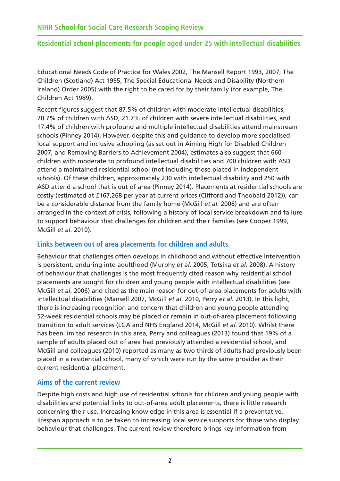Educational Needs Code of Practice for Wales 2002, The Mansell Report 1993, 2007, The Children (Scotland) Act 1995, The Special Educational Needs and Disability (Northern Ireland) Order 2005) with the right to be cared for by their family (for example, The Children Act 1989).

Recent figures suggest that 87.5% of children with moderate intellectual disabilities, 70.7% of children with ASD, 21.7% of children with severe intellectual disabilities, and 17.4% of children with profound and multiple intellectual disabilities attend mainstream schools (Pinney 2014). However, despite this and guidance to develop more specialised local support and inclusive schooling (as set out in Aiming High for Disabled Children 2007, and Removing Barriers to Achievement 2004), estimates also suggest that 660 children with moderate to profound intellectual disabilities and 700 children with ASD attend a maintained residential school (not including those placed in independent schools). Of these children, approximately 230 with intellectual disability and 250 with ASD attend a school that is out of area (Pinney 2014). Placements at residential schools are costly (estimated at £167,268 per year at current prices (Clifford and Theobald 2012)), can be a considerable distance from the family home (McGill *et al.* 2006) and are often arranged in the context of crisis, following a history of local service breakdown and failure to support behaviour that challenges for children and their families (see Cooper 1999, McGill *et al.* 2010).

## **Links between out of area placements for children and adults**

Behaviour that challenges often develops in childhood and without effective intervention is persistent, enduring into adulthood (Murphy *et al.* 2005, Totsika *et al.* 2008). A history of behaviour that challenges is the most frequently cited reason why residential school placements are sought for children and young people with intellectual disabilities (see McGill *et al.* 2006) and cited as the main reason for out-of-area placements for adults with intellectual disabilities (Mansell 2007, McGill *et al.* 2010, Perry *et al.* 2013). In this light, there is increasing recognition and concern that children and young people attending 52-week residential schools may be placed or remain in out-of-area placement following transition to adult services (LGA and NHS England 2014, McGill *et al.* 2010). Whilst there has been limited research in this area, Perry and colleagues (2013) found that 19% of a sample of adults placed out of area had previously attended a residential school, and McGill and colleagues (2010) reported as many as two thirds of adults had previously been placed in a residential school, many of which were run by the same provider as their current residential placement.

## **Aims of the current review**

Despite high costs and high use of residential schools for children and young people with disabilities and potential links to out-of-area adult placements, there is little research concerning their use. Increasing knowledge in this area is essential if a preventative, lifespan approach is to be taken to increasing local service supports for those who display behaviour that challenges. The current review therefore brings key information from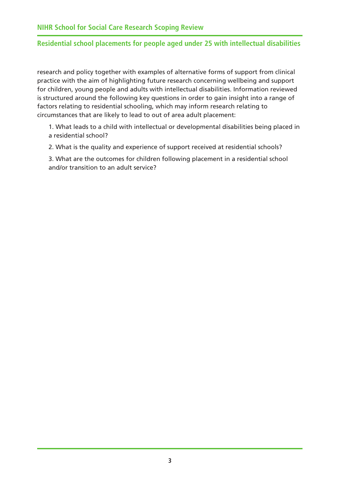<span id="page-7-0"></span>research and policy together with examples of alternative forms of support from clinical practice with the aim of highlighting future research concerning wellbeing and support for children, young people and adults with intellectual disabilities. Information reviewed is structured around the following key questions in order to gain insight into a range of factors relating to residential schooling, which may inform research relating to circumstances that are likely to lead to out of area adult placement:

1. What leads to a child with intellectual or developmental disabilities being placed in a residential school?

2. What is the quality and experience of support received at residential schools?

3. What are the outcomes for children following placement in a residential school and/or transition to an adult service?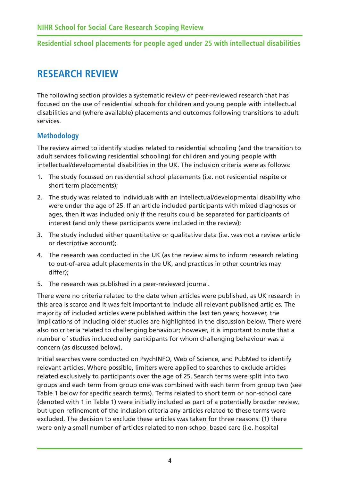# **RESEARCH REVIEW**

The following section provides a systematic review of peer-reviewed research that has focused on the use of residential schools for children and young people with intellectual disabilities and (where available) placements and outcomes following transitions to adult services.

# **Methodology**

The review aimed to identify studies related to residential schooling (and the transition to adult services following residential schooling) for children and young people with intellectual/developmental disabilities in the UK. The inclusion criteria were as follows:

- 1. The study focussed on residential school placements (i.e. not residential respite or short term placements);
- 2. The study was related to individuals with an intellectual/developmental disability who were under the age of 25. If an article included participants with mixed diagnoses or ages, then it was included only if the results could be separated for participants of interest (and only these participants were included in the review);
- 3. The study included either quantitative or qualitative data (i.e. was not a review article or descriptive account);
- 4. The research was conducted in the UK (as the review aims to inform research relating to out-of-area adult placements in the UK, and practices in other countries may differ);
- 5. The research was published in a peer-reviewed journal.

There were no criteria related to the date when articles were published, as UK research in this area is scarce and it was felt important to include all relevant published articles. The majority of included articles were published within the last ten years; however, the implications of including older studies are highlighted in the discussion below. There were also no criteria related to challenging behaviour; however, it is important to note that a number of studies included only participants for whom challenging behaviour was a concern (as discussed below).

Initial searches were conducted on PsychINFO, Web of Science, and PubMed to identify relevant articles. Where possible, limiters were applied to searches to exclude articles related exclusively to participants over the age of 25. Search terms were split into two groups and each term from group one was combined with each term from group two (see Table 1 below for specific search terms). Terms related to short term or non-school care (denoted with 1 in Table 1) were initially included as part of a potentially broader review, but upon refinement of the inclusion criteria any articles related to these terms were excluded. The decision to exclude these articles was taken for three reasons: (1) there were only a small number of articles related to non-school based care (i.e. hospital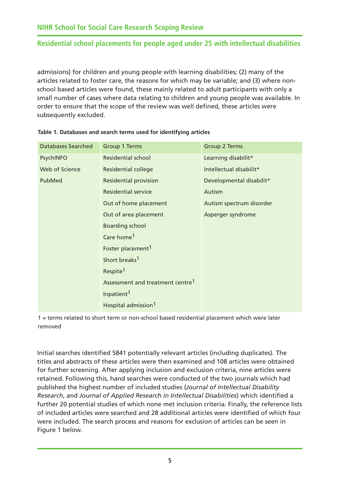admissions) for children and young people with learning disabilities; (2) many of the articles related to foster care, the reasons for which may be variable; and (3) where nonschool based articles were found, these mainly related to adult participants with only a small number of cases where data relating to children and young people was available. In order to ensure that the scope of the review was well defined, these articles were subsequently excluded.

| <b>Databases Searched</b> | <b>Group 1 Terms</b>                         | <b>Group 2 Terms</b>     |
|---------------------------|----------------------------------------------|--------------------------|
| PsychINFO                 | <b>Residential school</b>                    | Learning disabilit*      |
| Web of Science            | <b>Residential college</b>                   | Intellectual disabilit*  |
| PubMed                    | <b>Residential provision</b>                 | Developmental disabilit* |
|                           | <b>Residential service</b>                   | Autism                   |
|                           | Out of home placement                        | Autism spectrum disorder |
|                           | Out of area placement                        | Asperger syndrome        |
|                           | <b>Boarding school</b>                       |                          |
|                           | Care home <sup>1</sup>                       |                          |
|                           | Foster placement <sup>1</sup>                |                          |
|                           | Short breaks <sup>1</sup>                    |                          |
|                           | Respite <sup>1</sup>                         |                          |
|                           | Assessment and treatment centre <sup>1</sup> |                          |
|                           | Inpatient <sup>1</sup>                       |                          |
|                           | Hospital admission <sup>1</sup>              |                          |

1 = terms related to short term or non-school based residential placement which were later removed

Initial searches identified 5841 potentially relevant articles (including duplicates). The titles and abstracts of these articles were then examined and 108 articles were obtained for further screening. After applying inclusion and exclusion criteria, nine articles were retained. Following this, hand searches were conducted of the two journals which had published the highest number of included studies (*Journal of Intellectual Disability Research*, and *Journal of Applied Research in Intellectual Disabilities*) which identified a further 20 potential studies of which none met inclusion criteria. Finally, the reference lists of included articles were searched and 28 additional articles were identified of which four were included. The search process and reasons for exclusion of articles can be seen in Figure 1 below.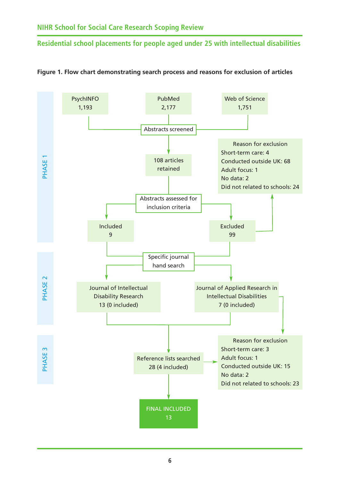

#### <span id="page-10-0"></span>**Figure 1. Flow chart demonstrating search process and reasons for exclusion of articles**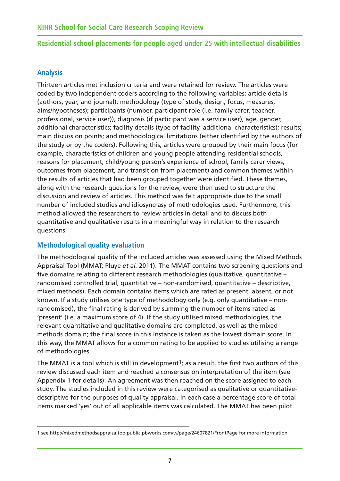## <span id="page-11-0"></span>**Analysis**

Thirteen articles met inclusion criteria and were retained for review. The articles were coded by two independent coders according to the following variables: article details (authors, year, and journal); methodology (type of study, design, focus, measures, aims/hypotheses); participants (number, participant role (i.e. family carer, teacher, professional, service user)), diagnosis (if participant was a service user), age, gender, additional characteristics; facility details (type of facility, additional characteristics); results; main discussion points; and methodological limitations (either identified by the authors of the study or by the coders). Following this, articles were grouped by their main focus (for example, characteristics of children and young people attending residential schools, reasons for placement, child/young person's experience of school, family carer views, outcomes from placement, and transition from placement) and common themes within the results of articles that had been grouped together were identified. These themes, along with the research questions for the review, were then used to structure the discussion and review of articles. This method was felt appropriate due to the small number of included studies and idiosyncrasy of methodologies used. Furthermore, this method allowed the researchers to review articles in detail and to discuss both quantitative and qualitative results in a meaningful way in relation to the research questions.

## **Methodological quality evaluation**

The methodological quality of the included articles was assessed using the Mixed Methods Appraisal Tool (MMAT; Pluye *et al.* 2011). The MMAT contains two screening questions and five domains relating to different research methodologies (qualitative, quantitative – randomised controlled trial, quantitative – non-randomised, quantitative – descriptive, mixed methods). Each domain contains items which are rated as present, absent, or not known. If a study utilises one type of methodology only (e.g. only quantitative – nonrandomised), the final rating is derived by summing the number of items rated as 'present' (i.e. a maximum score of 4). If the study utilised mixed methodologies, the relevant quantitative and qualitative domains are completed, as well as the mixed methods domain; the final score in this instance is taken as the lowest domain score. In this way, the MMAT allows for a common rating to be applied to studies utilising a range of methodologies.

The MMAT is a tool which is still in development<sup>1</sup>; as a result, the first two authors of this review discussed each item and reached a consensus on interpretation of the item (see Appendix 1 for details). An agreement was then reached on the score assigned to each study. The studies included in this review were categorised as qualitative or quantitativedescriptive for the purposes of quality appraisal. In each case a percentage score of total items marked 'yes' out of all applicable items was calculated. The MMAT has been pilot

<sup>1</sup> see [http://mixedmethodsappraisaltoolpublic.pbworks.com/w/page/24607821/FrontPage fo](http://mixedmethodsappraisaltoolpublic.pbworks.com/w/page/24607821/FrontPage)r more information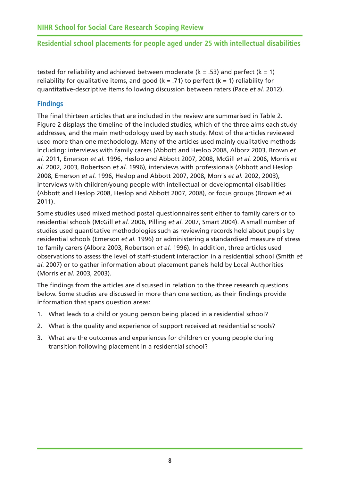tested for reliability and achieved between moderate ( $k = .53$ ) and perfect ( $k = 1$ ) reliability for qualitative items, and good ( $k = .71$ ) to perfect ( $k = 1$ ) reliability for quantitative-descriptive items following discussion between raters (Pace *et al.* 2012).

# **Findings**

The final thirteen articles that are included in the review are summarised in Table 2. Figure 2 displays the timeline of the included studies, which of the three aims each study addresses, and the main methodology used by each study. Most of the articles reviewed used more than one methodology. Many of the articles used mainly qualitative methods including: interviews with family carers (Abbott and Heslop 2008, Alborz 2003, Brown *et al.* 2011, Emerson *et al.* 1996, Heslop and Abbott 2007, 2008, McGill *et al.* 2006, Morris *et al.* 2002, 2003, Robertson *et al.* 1996), interviews with professionals (Abbott and Heslop 2008, Emerson *et al.* 1996, Heslop and Abbott 2007, 2008, Morris *et al.* 2002, 2003), interviews with children/young people with intellectual or developmental disabilities (Abbott and Heslop 2008, Heslop and Abbott 2007, 2008), or focus groups (Brown *et al.* 2011).

Some studies used mixed method postal questionnaires sent either to family carers or to residential schools (McGill *et al.* 2006, Pilling *et al.* 2007, Smart 2004). A small number of studies used quantitative methodologies such as reviewing records held about pupils by residential schools (Emerson *et al.* 1996) or administering a standardised measure of stress to family carers (Alborz 2003, Robertson *et al.* 1996). In addition, three articles used observations to assess the level of staff-student interaction in a residential school (Smith *et al.* 2007) or to gather information about placement panels held by Local Authorities (Morris *et al.* 2003, 2003).

The findings from the articles are discussed in relation to the three research questions below. Some studies are discussed in more than one section, as their findings provide information that spans question areas:

- 1. What leads to a child or young person being placed in a residential school?
- 2. What is the quality and experience of support received at residential schools?
- 3. What are the outcomes and experiences for children or young people during transition following placement in a residential school?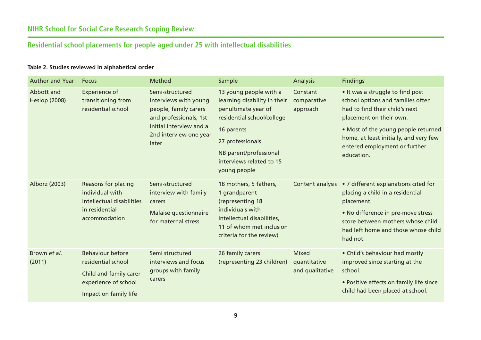#### **Table 2. Studies reviewed in alphabetical order**

| <b>Author and Year</b>             | <b>Focus</b>                                                                                                             | Method                                                                                                                                                    | Sample                                                                                                                                                                                                              | Analysis                                        | <b>Findings</b>                                                                                                                                                                                                                                                    |
|------------------------------------|--------------------------------------------------------------------------------------------------------------------------|-----------------------------------------------------------------------------------------------------------------------------------------------------------|---------------------------------------------------------------------------------------------------------------------------------------------------------------------------------------------------------------------|-------------------------------------------------|--------------------------------------------------------------------------------------------------------------------------------------------------------------------------------------------------------------------------------------------------------------------|
| Abbott and<br><b>Heslop (2008)</b> | Experience of<br>transitioning from<br>residential school                                                                | Semi-structured<br>interviews with young<br>people, family carers<br>and professionals; 1st<br>initial interview and a<br>2nd interview one year<br>later | 13 young people with a<br>learning disability in their<br>penultimate year of<br>residential school/college<br>16 parents<br>27 professionals<br>NB parent/professional<br>interviews related to 15<br>young people | Constant<br>comparative<br>approach             | • It was a struggle to find post<br>school options and families often<br>had to find their child's next<br>placement on their own.<br>. Most of the young people returned<br>home, at least initially, and very few<br>entered employment or further<br>education. |
| Alborz (2003)                      | Reasons for placing<br>individual with<br>intellectual disabilities<br>in residential<br>accommodation                   | Semi-structured<br>interview with family<br>carers<br>Malaise questionnaire<br>for maternal stress                                                        | 18 mothers, 5 fathers,<br>1 grandparent<br>(representing 18<br>individuals with<br>intellectual disabilities,<br>11 of whom met inclusion<br>criteria for the review)                                               | Content analysis                                | • 7 different explanations cited for<br>placing a child in a residential<br>placement.<br>• No difference in pre-move stress<br>score between mothers whose child<br>had left home and those whose child<br>had not.                                               |
| Brown et al.<br>(2011)             | <b>Behaviour before</b><br>residential school<br>Child and family carer<br>experience of school<br>Impact on family life | Semi structured<br>interviews and focus<br>groups with family<br>carers                                                                                   | 26 family carers<br>(representing 23 children)                                                                                                                                                                      | <b>Mixed</b><br>quantitative<br>and qualitative | • Child's behaviour had mostly<br>improved since starting at the<br>school.<br>• Positive effects on family life since<br>child had been placed at school.                                                                                                         |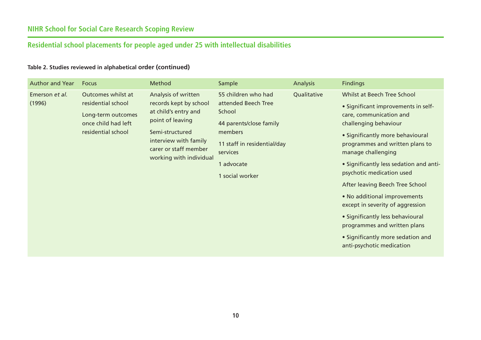| <b>Author and Year</b>   | <b>Focus</b>                                                                                                | Method                                                                                                                                                                                    | Sample                                                                                                                                                                 | <b>Analysis</b> | <b>Findings</b>                                                                                                                                                                                                                                                                                                                                                                                                                                                                                             |
|--------------------------|-------------------------------------------------------------------------------------------------------------|-------------------------------------------------------------------------------------------------------------------------------------------------------------------------------------------|------------------------------------------------------------------------------------------------------------------------------------------------------------------------|-----------------|-------------------------------------------------------------------------------------------------------------------------------------------------------------------------------------------------------------------------------------------------------------------------------------------------------------------------------------------------------------------------------------------------------------------------------------------------------------------------------------------------------------|
| Emerson et al.<br>(1996) | Outcomes whilst at<br>residential school<br>Long-term outcomes<br>once child had left<br>residential school | Analysis of written<br>records kept by school<br>at child's entry and<br>point of leaving<br>Semi-structured<br>interview with family<br>carer or staff member<br>working with individual | 55 children who had<br>attended Beech Tree<br>School<br>44 parents/close family<br>members<br>11 staff in residential/day<br>services<br>1 advocate<br>1 social worker | Qualitative     | Whilst at Beech Tree School<br>• Significant improvements in self-<br>care, communication and<br>challenging behaviour<br>• Significantly more behavioural<br>programmes and written plans to<br>manage challenging<br>• Significantly less sedation and anti-<br>psychotic medication used<br>After leaving Beech Tree School<br>• No additional improvements<br>except in severity of aggression<br>• Significantly less behavioural<br>programmes and written plans<br>• Significantly more sedation and |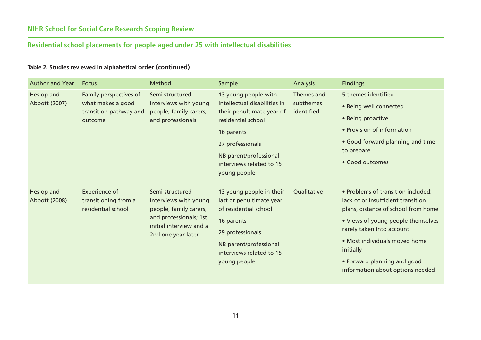| <b>Author and Year</b>      | <b>Focus</b>                                                | Method                                                             | Sample                                                                        | <b>Analysis</b>         | <b>Findings</b>                                                                                                 |
|-----------------------------|-------------------------------------------------------------|--------------------------------------------------------------------|-------------------------------------------------------------------------------|-------------------------|-----------------------------------------------------------------------------------------------------------------|
| Heslop and                  | Family perspectives of                                      | Semi structured                                                    | 13 young people with                                                          | Themes and              | 5 themes identified                                                                                             |
| Abbott (2007)               | what makes a good<br>transition pathway and                 | interviews with young<br>people, family carers,                    | intellectual disabilities in<br>their penultimate year of                     | subthemes<br>identified | • Being well connected                                                                                          |
|                             | outcome                                                     | and professionals                                                  | residential school                                                            |                         | • Being proactive                                                                                               |
|                             |                                                             |                                                                    | 16 parents                                                                    |                         | • Provision of information                                                                                      |
|                             |                                                             |                                                                    | 27 professionals                                                              |                         | • Good forward planning and time                                                                                |
|                             |                                                             |                                                                    | NB parent/professional                                                        |                         | to prepare                                                                                                      |
|                             |                                                             |                                                                    | interviews related to 15                                                      |                         | · Good outcomes                                                                                                 |
|                             |                                                             |                                                                    | young people                                                                  |                         |                                                                                                                 |
| Heslop and<br>Abbott (2008) | Experience of<br>transitioning from a<br>residential school | Semi-structured<br>interviews with young<br>people, family carers, | 13 young people in their<br>last or penultimate year<br>of residential school | Qualitative             | • Problems of transition included:<br>lack of or insufficient transition<br>plans, distance of school from home |
|                             |                                                             | and professionals; 1st<br>initial interview and a                  | 16 parents                                                                    |                         | • Views of young people themselves                                                                              |
|                             |                                                             | 2nd one year later                                                 | 29 professionals                                                              |                         | rarely taken into account                                                                                       |
|                             |                                                             |                                                                    | NB parent/professional<br>interviews related to 15                            |                         | • Most individuals moved home<br>initially                                                                      |
|                             |                                                             |                                                                    | young people                                                                  |                         | • Forward planning and good                                                                                     |
|                             |                                                             |                                                                    |                                                                               |                         | information about options needed                                                                                |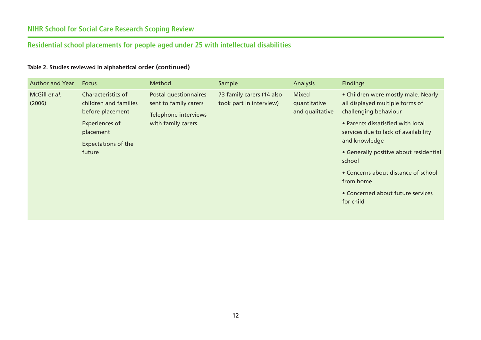| <b>Author and Year</b>  | <b>Focus</b>                                                    | Method                                                                 | Sample                                               | <b>Analysis</b>                                 | <b>Findings</b>                                                                                 |
|-------------------------|-----------------------------------------------------------------|------------------------------------------------------------------------|------------------------------------------------------|-------------------------------------------------|-------------------------------------------------------------------------------------------------|
| McGill et al.<br>(2006) | Characteristics of<br>children and families<br>before placement | Postal questionnaires<br>sent to family carers<br>Telephone interviews | 73 family carers (14 also<br>took part in interview) | <b>Mixed</b><br>quantitative<br>and qualitative | • Children were mostly male. Nearly<br>all displayed multiple forms of<br>challenging behaviour |
|                         | Experiences of<br>placement<br><b>Expectations of the</b>       | with family carers                                                     |                                                      |                                                 | • Parents dissatisfied with local<br>services due to lack of availability<br>and knowledge      |
|                         | future                                                          |                                                                        |                                                      |                                                 | • Generally positive about residential<br>school                                                |
|                         |                                                                 |                                                                        |                                                      |                                                 | • Concerns about distance of school<br>from home                                                |
|                         |                                                                 |                                                                        |                                                      |                                                 | • Concerned about future services<br>for child                                                  |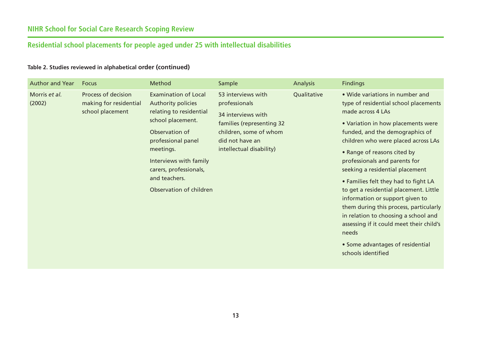| <b>Author and Year</b>  | <b>Focus</b>                                                      | Method                                                                                                                                                                                                                                                        | Sample                                                                                                                                                          | <b>Analysis</b> | <b>Findings</b>                                                                                                                                                                                                                                                                                                                                                                                                                                                                                                                                                                                                                        |
|-------------------------|-------------------------------------------------------------------|---------------------------------------------------------------------------------------------------------------------------------------------------------------------------------------------------------------------------------------------------------------|-----------------------------------------------------------------------------------------------------------------------------------------------------------------|-----------------|----------------------------------------------------------------------------------------------------------------------------------------------------------------------------------------------------------------------------------------------------------------------------------------------------------------------------------------------------------------------------------------------------------------------------------------------------------------------------------------------------------------------------------------------------------------------------------------------------------------------------------------|
| Morris et al.<br>(2002) | Process of decision<br>making for residential<br>school placement | <b>Examination of Local</b><br><b>Authority policies</b><br>relating to residential<br>school placement.<br>Observation of<br>professional panel<br>meetings.<br>Interviews with family<br>carers, professionals,<br>and teachers.<br>Observation of children | 53 interviews with<br>professionals<br>34 interviews with<br>families (representing 32<br>children, some of whom<br>did not have an<br>intellectual disability) | Qualitative     | . Wide variations in number and<br>type of residential school placements<br>made across 4 LAs<br>• Variation in how placements were<br>funded, and the demographics of<br>children who were placed across LAs<br>• Range of reasons cited by<br>professionals and parents for<br>seeking a residential placement<br>• Families felt they had to fight LA<br>to get a residential placement. Little<br>information or support given to<br>them during this process, particularly<br>in relation to choosing a school and<br>assessing if it could meet their child's<br>needs<br>• Some advantages of residential<br>schools identified |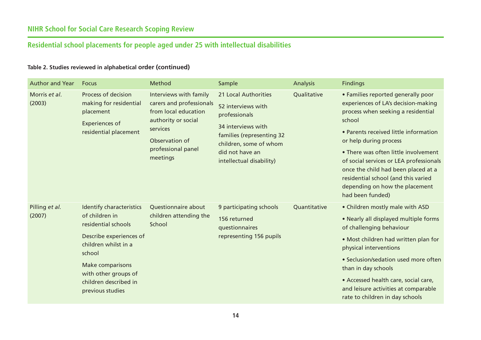| <b>Author and Year</b>   | <b>Focus</b>                                                                                                                                                                                                                          | Method                                                                                                                                                            | Sample                                                                                                                                                                                  | Analysis     | <b>Findings</b>                                                                                                                                                                                                                                                                                                                                                                                                     |
|--------------------------|---------------------------------------------------------------------------------------------------------------------------------------------------------------------------------------------------------------------------------------|-------------------------------------------------------------------------------------------------------------------------------------------------------------------|-----------------------------------------------------------------------------------------------------------------------------------------------------------------------------------------|--------------|---------------------------------------------------------------------------------------------------------------------------------------------------------------------------------------------------------------------------------------------------------------------------------------------------------------------------------------------------------------------------------------------------------------------|
| Morris et al.<br>(2003)  | Process of decision<br>making for residential<br>placement<br><b>Experiences of</b><br>residential placement                                                                                                                          | Interviews with family<br>carers and professionals<br>from local education<br>authority or social<br>services<br>Observation of<br>professional panel<br>meetings | 21 Local Authorities<br>52 interviews with<br>professionals<br>34 interviews with<br>families (representing 32<br>children, some of whom<br>did not have an<br>intellectual disability) | Qualitative  | • Families reported generally poor<br>experiences of LA's decision-making<br>process when seeking a residential<br>school<br>• Parents received little information<br>or help during process<br>• There was often little involvement<br>of social services or LEA professionals<br>once the child had been placed at a<br>residential school (and this varied<br>depending on how the placement<br>had been funded) |
| Pilling et al.<br>(2007) | <b>Identify characteristics</b><br>of children in<br>residential schools<br>Describe experiences of<br>children whilst in a<br>school<br><b>Make comparisons</b><br>with other groups of<br>children described in<br>previous studies | Questionnaire about<br>children attending the<br>School                                                                                                           | 9 participating schools<br>156 returned<br>questionnaires<br>representing 156 pupils                                                                                                    | Quantitative | • Children mostly male with ASD<br>• Nearly all displayed multiple forms<br>of challenging behaviour<br>• Most children had written plan for<br>physical interventions<br>• Seclusion/sedation used more often<br>than in day schools<br>• Accessed health care, social care,<br>and leisure activities at comparable<br>rate to children in day schools                                                            |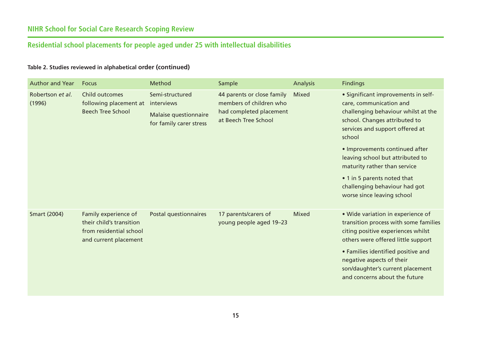| <b>Author and Year</b>     | <b>Focus</b>                                                                                         | Method                                                              | Sample                                                                                                   | <b>Analysis</b> | <b>Findings</b>                                                                                                                                                                                                                                                                                                                                                                         |
|----------------------------|------------------------------------------------------------------------------------------------------|---------------------------------------------------------------------|----------------------------------------------------------------------------------------------------------|-----------------|-----------------------------------------------------------------------------------------------------------------------------------------------------------------------------------------------------------------------------------------------------------------------------------------------------------------------------------------------------------------------------------------|
| Robertson et al.<br>(1996) | Child outcomes<br>following placement at interviews<br><b>Beech Tree School</b>                      | Semi-structured<br>Malaise questionnaire<br>for family carer stress | 44 parents or close family<br>members of children who<br>had completed placement<br>at Beech Tree School | <b>Mixed</b>    | • Significant improvements in self-<br>care, communication and<br>challenging behaviour whilst at the<br>school. Changes attributed to<br>services and support offered at<br>school<br>• Improvements continued after<br>leaving school but attributed to<br>maturity rather than service<br>• 1 in 5 parents noted that<br>challenging behaviour had got<br>worse since leaving school |
| <b>Smart (2004)</b>        | Family experience of<br>their child's transition<br>from residential school<br>and current placement | Postal questionnaires                                               | 17 parents/carers of<br>young people aged 19-23                                                          | <b>Mixed</b>    | · Wide variation in experience of<br>transition process with some families<br>citing positive experiences whilst<br>others were offered little support<br>• Families identified positive and<br>negative aspects of their<br>son/daughter's current placement<br>and concerns about the future                                                                                          |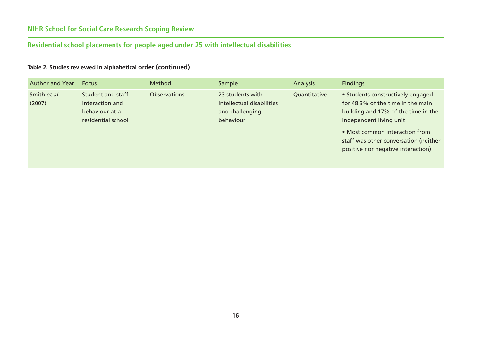# **NIHR School for Social Care Research Scoping Review**

# **Residential school placements for people aged under 25 with intellectual disabilities**

| <b>Author and Year</b> | <b>Focus</b>                                                                 | Method              | Sample                                                                        | <b>Analysis</b> | <b>Findings</b>                                                                                                                          |
|------------------------|------------------------------------------------------------------------------|---------------------|-------------------------------------------------------------------------------|-----------------|------------------------------------------------------------------------------------------------------------------------------------------|
| Smith et al.<br>(2007) | Student and staff<br>interaction and<br>behaviour at a<br>residential school | <b>Observations</b> | 23 students with<br>intellectual disabilities<br>and challenging<br>behaviour | Quantitative    | • Students constructively engaged<br>for 48.3% of the time in the main<br>building and 17% of the time in the<br>independent living unit |
|                        |                                                                              |                     |                                                                               |                 | • Most common interaction from<br>staff was other conversation (neither<br>positive nor negative interaction)                            |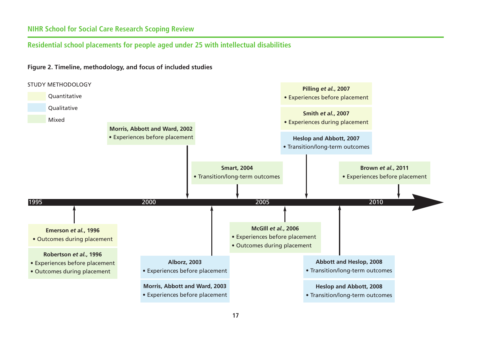## **NIHR School for Social Care Research Scoping Review**

#### **Residential school placements for people aged under 25 with intellectual disabilities**



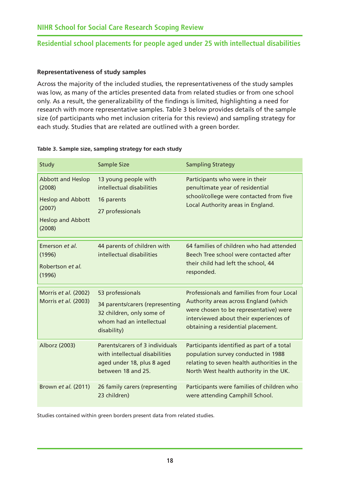#### **Representativeness of study samples**

Across the majority of the included studies, the representativeness of the study samples was low, as many of the articles presented data from related studies or from one school only. As a result, the generalizability of the findings is limited, highlighting a need for research with more representative samples. Table 3 below provides details of the sample size (of participants who met inclusion criteria for this review) and sampling strategy for each study. Studies that are related are outlined with a green border.

| Study                                                                                                          | Sample Size                                                                                                                 | <b>Sampling Strategy</b>                                                                                                                                                                                      |
|----------------------------------------------------------------------------------------------------------------|-----------------------------------------------------------------------------------------------------------------------------|---------------------------------------------------------------------------------------------------------------------------------------------------------------------------------------------------------------|
| <b>Abbott and Heslop</b><br>(2008)<br><b>Heslop and Abbott</b><br>(2007)<br><b>Heslop and Abbott</b><br>(2008) | 13 young people with<br>intellectual disabilities<br>16 parents<br>27 professionals                                         | Participants who were in their<br>penultimate year of residential<br>school/college were contacted from five<br>Local Authority areas in England.                                                             |
| Emerson et al.<br>(1996)<br>Robertson et al.<br>(1996)                                                         | 44 parents of children with<br>intellectual disabilities                                                                    | 64 families of children who had attended<br>Beech Tree school were contacted after<br>their child had left the school, 44<br>responded.                                                                       |
| Morris et al. (2002)<br>Morris et al. (2003)                                                                   | 53 professionals<br>34 parents/carers (representing<br>32 children, only some of<br>whom had an intellectual<br>disability) | Professionals and families from four Local<br>Authority areas across England (which<br>were chosen to be representative) were<br>interviewed about their experiences of<br>obtaining a residential placement. |
| Alborz (2003)                                                                                                  | Parents/carers of 3 individuals<br>with intellectual disabilities<br>aged under 18, plus 8 aged<br>between 18 and 25.       | Participants identified as part of a total<br>population survey conducted in 1988<br>relating to seven health authorities in the<br>North West health authority in the UK.                                    |
| Brown et al. (2011)                                                                                            | 26 family carers (representing<br>23 children)                                                                              | Participants were families of children who<br>were attending Camphill School.                                                                                                                                 |

#### **Table 3. Sample size, sampling strategy for each study**

Studies contained within green borders present data from related studies.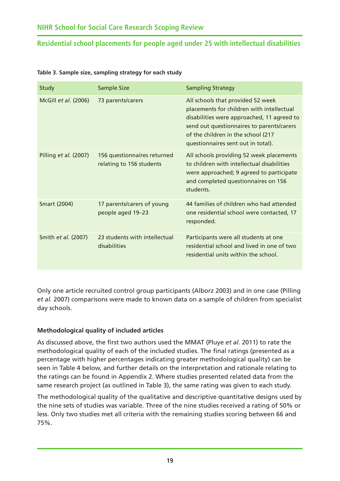| Study                 | Sample Size                                             | <b>Sampling Strategy</b>                                                                                                                                                                                                                              |
|-----------------------|---------------------------------------------------------|-------------------------------------------------------------------------------------------------------------------------------------------------------------------------------------------------------------------------------------------------------|
| McGill et al. (2006)  | 73 parents/carers                                       | All schools that provided 52 week<br>placements for children with intellectual<br>disabilities were approached, 11 agreed to<br>send out questionnaires to parents/carers<br>of the children in the school (217<br>questionnaires sent out in total). |
| Pilling et al. (2007) | 156 questionnaires returned<br>relating to 156 students | All schools providing 52 week placements<br>to children with intellectual disabilities<br>were approached; 9 agreed to participate<br>and completed questionnaires on 156<br>students.                                                                |
| <b>Smart (2004)</b>   | 17 parents/carers of young<br>people aged 19-23         | 44 families of children who had attended<br>one residential school were contacted, 17<br>responded.                                                                                                                                                   |
| Smith et al. (2007)   | 23 students with intellectual<br>disabilities           | Participants were all students at one<br>residential school and lived in one of two<br>residential units within the school.                                                                                                                           |

#### **Table 3. Sample size, sampling strategy for each study**

Only one article recruited control group participants (Alborz 2003) and in one case (Pilling *et al.* 2007) comparisons were made to known data on a sample of children from specialist day schools.

#### **Methodological quality of included articles**

As discussed above, the first two authors used the MMAT (Pluye *et al.* 2011) to rate the methodological quality of each of the included studies. The final ratings (presented as a percentage with higher percentages indicating greater methodological quality) can be seen in Table 4 below, and further details on the interpretation and rationale relating to the ratings can be found in Appendix 2. Where studies presented related data from the same research project (as outlined in Table 3), the same rating was given to each study.

The methodological quality of the qualitative and descriptive quantitative designs used by the nine sets of studies was variable. Three of the nine studies received a rating of 50% or less. Only two studies met all criteria with the remaining studies scoring between 66 and 75%.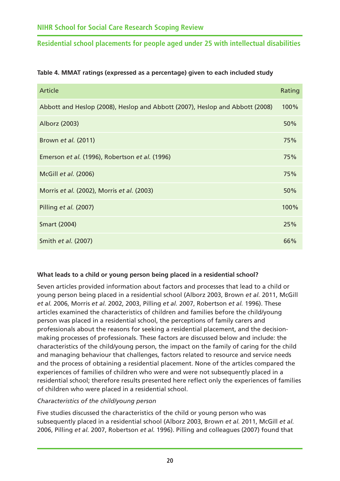| Article                                                                      | Rating |
|------------------------------------------------------------------------------|--------|
| Abbott and Heslop (2008), Heslop and Abbott (2007), Heslop and Abbott (2008) | 100%   |
| Alborz (2003)                                                                | 50%    |
| Brown et al. (2011)                                                          | 75%    |
| Emerson et al. (1996), Robertson et al. (1996)                               | 75%    |
| McGill et al. (2006)                                                         | 75%    |
| Morris et al. (2002), Morris et al. (2003)                                   | 50%    |
| Pilling et al. (2007)                                                        | 100%   |
| Smart (2004)                                                                 | 25%    |
| Smith et al. (2007)                                                          | 66%    |

#### **Table 4. MMAT ratings (expressed as a percentage) given to each included study**

#### **What leads to a child or young person being placed in a residential school?**

Seven articles provided information about factors and processes that lead to a child or young person being placed in a residential school (Alborz 2003, Brown *et al.* 2011, McGill *et al.* 2006, Morris *et al.* 2002, 2003, Pilling *et al.* 2007, Robertson *et al.* 1996). These articles examined the characteristics of children and families before the child/young person was placed in a residential school, the perceptions of family carers and professionals about the reasons for seeking a residential placement, and the decisionmaking processes of professionals. These factors are discussed below and include: the characteristics of the child/young person, the impact on the family of caring for the child and managing behaviour that challenges, factors related to resource and service needs and the process of obtaining a residential placement. None of the articles compared the experiences of families of children who were and were not subsequently placed in a residential school; therefore results presented here reflect only the experiences of families of children who were placed in a residential school.

#### *Characteristics of the child/young person*

Five studies discussed the characteristics of the child or young person who was subsequently placed in a residential school (Alborz 2003, Brown *et al.* 2011, McGill *et al.* 2006, Pilling *et al.* 2007, Robertson *et al.* 1996). Pilling and colleagues (2007) found that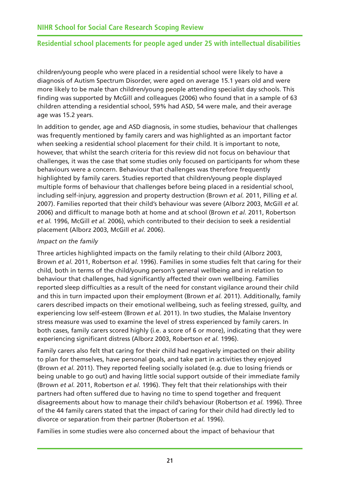children/young people who were placed in a residential school were likely to have a diagnosis of Autism Spectrum Disorder, were aged on average 15.1 years old and were more likely to be male than children/young people attending specialist day schools. This finding was supported by McGill and colleagues (2006) who found that in a sample of 63 children attending a residential school, 59% had ASD, 54 were male, and their average age was 15.2 years.

In addition to gender, age and ASD diagnosis, in some studies, behaviour that challenges was frequently mentioned by family carers and was highlighted as an important factor when seeking a residential school placement for their child. It is important to note, however, that whilst the search criteria for this review did not focus on behaviour that challenges, it was the case that some studies only focused on participants for whom these behaviours were a concern. Behaviour that challenges was therefore frequently highlighted by family carers. Studies reported that children/young people displayed multiple forms of behaviour that challenges before being placed in a residential school, including self-injury, aggression and property destruction (Brown *et al.* 2011, Pilling *et al.* 2007). Families reported that their child's behaviour was severe (Alborz 2003, McGill *et al.* 2006) and difficult to manage both at home and at school (Brown *et al.* 2011, Robertson *et al.* 1996, McGill *et al.* 2006), which contributed to their decision to seek a residential placement (Alborz 2003, McGill *et al.* 2006).

#### *Impact on the family*

Three articles highlighted impacts on the family relating to their child (Alborz 2003, Brown *et al.* 2011, Robertson *et al.* 1996). Families in some studies felt that caring for their child, both in terms of the child/young person's general wellbeing and in relation to behaviour that challenges, had significantly affected their own wellbeing. Families reported sleep difficulties as a result of the need for constant vigilance around their child and this in turn impacted upon their employment (Brown *et al.* 2011). Additionally, family carers described impacts on their emotional wellbeing, such as feeling stressed, guilty, and experiencing low self-esteem (Brown *et al.* 2011). In two studies, the Malaise Inventory stress measure was used to examine the level of stress experienced by family carers. In both cases, family carers scored highly (i.e. a score of 6 or more), indicating that they were experiencing significant distress (Alborz 2003, Robertson *et al.* 1996).

Family carers also felt that caring for their child had negatively impacted on their ability to plan for themselves, have personal goals, and take part in activities they enjoyed (Brown *et al.* 2011). They reported feeling socially isolated (e.g. due to losing friends or being unable to go out) and having little social support outside of their immediate family (Brown *et al.* 2011, Robertson *et al.* 1996). They felt that their relationships with their partners had often suffered due to having no time to spend together and frequent disagreements about how to manage their child's behaviour (Robertson *et al.* 1996). Three of the 44 family carers stated that the impact of caring for their child had directly led to divorce or separation from their partner (Robertson *et al.* 1996).

Families in some studies were also concerned about the impact of behaviour that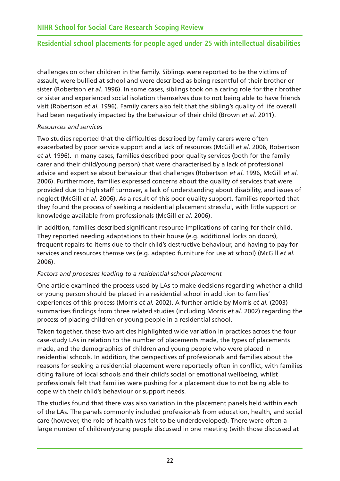challenges on other children in the family. Siblings were reported to be the victims of assault, were bullied at school and were described as being resentful of their brother or sister (Robertson *et al.* 1996). In some cases, siblings took on a caring role for their brother or sister and experienced social isolation themselves due to not being able to have friends visit (Robertson *et al.* 1996). Family carers also felt that the sibling's quality of life overall had been negatively impacted by the behaviour of their child (Brown *et al.* 2011).

#### *Resources and services*

Two studies reported that the difficulties described by family carers were often exacerbated by poor service support and a lack of resources (McGill *et al.* 2006, Robertson *et al.* 1996). In many cases, families described poor quality services (both for the family carer and their child/young person) that were characterised by a lack of professional advice and expertise about behaviour that challenges (Robertson *et al.* 1996, McGill *et al.* 2006). Furthermore, families expressed concerns about the quality of services that were provided due to high staff turnover, a lack of understanding about disability, and issues of neglect (McGill *et al.* 2006). As a result of this poor quality support, families reported that they found the process of seeking a residential placement stressful, with little support or knowledge available from professionals (McGill *et al.* 2006).

In addition, families described significant resource implications of caring for their child. They reported needing adaptations to their house (e.g. additional locks on doors), frequent repairs to items due to their child's destructive behaviour, and having to pay for services and resources themselves (e.g. adapted furniture for use at school) (McGill *et al.* 2006).

#### *Factors and processes leading to a residential school placement*

One article examined the process used by LAs to make decisions regarding whether a child or young person should be placed in a residential school in addition to families' experiences of this process (Morris *et al.* 2002). A further article by Morris *et al.* (2003) summarises findings from three related studies (including Morris *et al.* 2002) regarding the process of placing children or young people in a residential school.

Taken together, these two articles highlighted wide variation in practices across the four case-study LAs in relation to the number of placements made, the types of placements made, and the demographics of children and young people who were placed in residential schools. In addition, the perspectives of professionals and families about the reasons for seeking a residential placement were reportedly often in conflict, with families citing failure of local schools and their child's social or emotional wellbeing, whilst professionals felt that families were pushing for a placement due to not being able to cope with their child's behaviour or support needs.

The studies found that there was also variation in the placement panels held within each of the LAs. The panels commonly included professionals from education, health, and social care (however, the role of health was felt to be underdeveloped). There were often a large number of children/young people discussed in one meeting (with those discussed at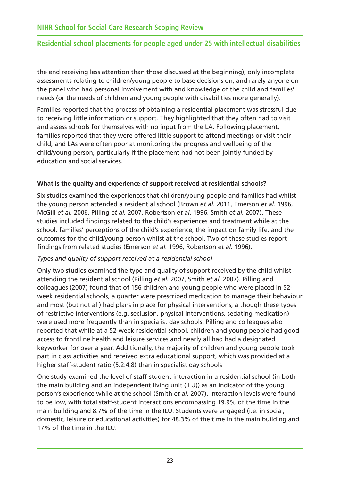the end receiving less attention than those discussed at the beginning), only incomplete assessments relating to children/young people to base decisions on, and rarely anyone on the panel who had personal involvement with and knowledge of the child and families' needs (or the needs of children and young people with disabilities more generally).

Families reported that the process of obtaining a residential placement was stressful due to receiving little information or support. They highlighted that they often had to visit and assess schools for themselves with no input from the LA. Following placement, families reported that they were offered little support to attend meetings or visit their child, and LAs were often poor at monitoring the progress and wellbeing of the child/young person, particularly if the placement had not been jointly funded by education and social services.

#### **What is the quality and experience of support received at residential schools?**

Six studies examined the experiences that children/young people and families had whilst the young person attended a residential school (Brown *et al.* 2011, Emerson *et al.* 1996, McGill *et al.* 2006, Pilling *et al.* 2007, Robertson *et al.* 1996, Smith *et al.* 2007). These studies included findings related to the child's experiences and treatment while at the school, families' perceptions of the child's experience, the impact on family life, and the outcomes for the child/young person whilst at the school. Two of these studies report findings from related studies (Emerson *et al.* 1996, Robertson *et al.* 1996).

#### *Types and quality of support received at a residential school*

Only two studies examined the type and quality of support received by the child whilst attending the residential school (Pilling *et al.* 2007, Smith *et al.* 2007). Pilling and colleagues (2007) found that of 156 children and young people who were placed in 52 week residential schools, a quarter were prescribed medication to manage their behaviour and most (but not all) had plans in place for physical interventions, although these types of restrictive interventions (e.g. seclusion, physical interventions, sedating medication) were used more frequently than in specialist day schools. Pilling and colleagues also reported that while at a 52-week residential school, children and young people had good access to frontline health and leisure services and nearly all had had a designated keyworker for over a year. Additionally, the majority of children and young people took part in class activities and received extra educational support, which was provided at a higher staff-student ratio (5.2:4.8) than in specialist day schools

One study examined the level of staff-student interaction in a residential school (in both the main building and an independent living unit (ILU)) as an indicator of the young person's experience while at the school (Smith *et al.* 2007). Interaction levels were found to be low, with total staff-student interactions encompassing 19.9% of the time in the main building and 8.7% of the time in the ILU. Students were engaged (i.e. in social, domestic, leisure or educational activities) for 48.3% of the time in the main building and 17% of the time in the ILU.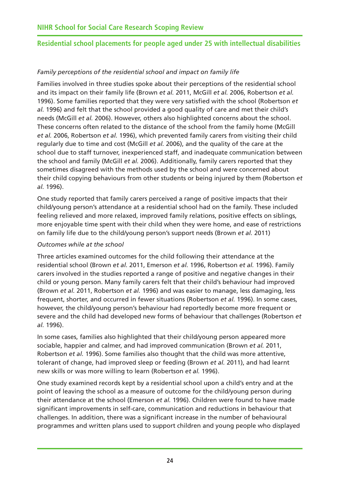#### *Family perceptions of the residential school and impact on family life*

Families involved in three studies spoke about their perceptions of the residential school and its impact on their family life (Brown *et al.* 2011, McGill *et al.* 2006, Robertson *et al.* 1996). Some families reported that they were very satisfied with the school (Robertson *et al.* 1996) and felt that the school provided a good quality of care and met their child's needs (McGill *et al.* 2006). However, others also highlighted concerns about the school. These concerns often related to the distance of the school from the family home (McGill *et al.* 2006, Robertson *et al.* 1996), which prevented family carers from visiting their child regularly due to time and cost (McGill *et al.* 2006), and the quality of the care at the school due to staff turnover, inexperienced staff, and inadequate communication between the school and family (McGill *et al.* 2006). Additionally, family carers reported that they sometimes disagreed with the methods used by the school and were concerned about their child copying behaviours from other students or being injured by them (Robertson *et al.* 1996).

One study reported that family carers perceived a range of positive impacts that their child/young person's attendance at a residential school had on the family. These included feeling relieved and more relaxed, improved family relations, positive effects on siblings, more enjoyable time spent with their child when they were home, and ease of restrictions on family life due to the child/young person's support needs (Brown *et al.* 2011)

#### *Outcomes while at the school*

Three articles examined outcomes for the child following their attendance at the residential school (Brown *et al.* 2011, Emerson *et al.* 1996, Robertson *et al.* 1996). Family carers involved in the studies reported a range of positive and negative changes in their child or young person. Many family carers felt that their child's behaviour had improved (Brown *et al.* 2011, Robertson *et al.* 1996) and was easier to manage, less damaging, less frequent, shorter, and occurred in fewer situations (Robertson *et al.* 1996). In some cases, however, the child/young person's behaviour had reportedly become more frequent or severe and the child had developed new forms of behaviour that challenges (Robertson *et al.* 1996).

In some cases, families also highlighted that their child/young person appeared more sociable, happier and calmer, and had improved communication (Brown *et al.* 2011, Robertson *et al.* 1996). Some families also thought that the child was more attentive, tolerant of change, had improved sleep or feeding (Brown *et al.* 2011), and had learnt new skills or was more willing to learn (Robertson *et al.* 1996).

One study examined records kept by a residential school upon a child's entry and at the point of leaving the school as a measure of outcome for the child/young person during their attendance at the school (Emerson *et al.* 1996). Children were found to have made significant improvements in self-care, communication and reductions in behaviour that challenges. In addition, there was a significant increase in the number of behavioural programmes and written plans used to support children and young people who displayed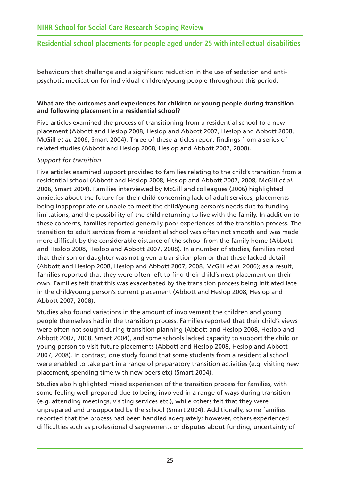behaviours that challenge and a significant reduction in the use of sedation and antipsychotic medication for individual children/young people throughout this period.

#### **What are the outcomes and experiences for children or young people during transition and following placement in a residential school?**

Five articles examined the process of transitioning from a residential school to a new placement (Abbott and Heslop 2008, Heslop and Abbott 2007, Heslop and Abbott 2008, McGill *et al.* 2006, Smart 2004). Three of these articles report findings from a series of related studies (Abbott and Heslop 2008, Heslop and Abbott 2007, 2008).

#### *Support for transition*

Five articles examined support provided to families relating to the child's transition from a residential school (Abbott and Heslop 2008, Heslop and Abbott 2007, 2008, McGill *et al.* 2006, Smart 2004). Families interviewed by McGill and colleagues (2006) highlighted anxieties about the future for their child concerning lack of adult services, placements being inappropriate or unable to meet the child/young person's needs due to funding limitations, and the possibility of the child returning to live with the family. In addition to these concerns, families reported generally poor experiences of the transition process. The transition to adult services from a residential school was often not smooth and was made more difficult by the considerable distance of the school from the family home (Abbott and Heslop 2008, Heslop and Abbott 2007, 2008). In a number of studies, families noted that their son or daughter was not given a transition plan or that these lacked detail (Abbott and Heslop 2008, Heslop and Abbott 2007, 2008, McGill *et al.* 2006); as a result, families reported that they were often left to find their child's next placement on their own. Families felt that this was exacerbated by the transition process being initiated late in the child/young person's current placement (Abbott and Heslop 2008, Heslop and Abbott 2007, 2008).

Studies also found variations in the amount of involvement the children and young people themselves had in the transition process. Families reported that their child's views were often not sought during transition planning (Abbott and Heslop 2008, Heslop and Abbott 2007, 2008, Smart 2004), and some schools lacked capacity to support the child or young person to visit future placements (Abbott and Heslop 2008, Heslop and Abbott 2007, 2008). In contrast, one study found that some students from a residential school were enabled to take part in a range of preparatory transition activities (e.g. visiting new placement, spending time with new peers etc) (Smart 2004).

Studies also highlighted mixed experiences of the transition process for families, with some feeling well prepared due to being involved in a range of ways during transition (e.g. attending meetings, visiting services etc.), while others felt that they were unprepared and unsupported by the school (Smart 2004). Additionally, some families reported that the process had been handled adequately; however, others experienced difficulties such as professional disagreements or disputes about funding, uncertainty of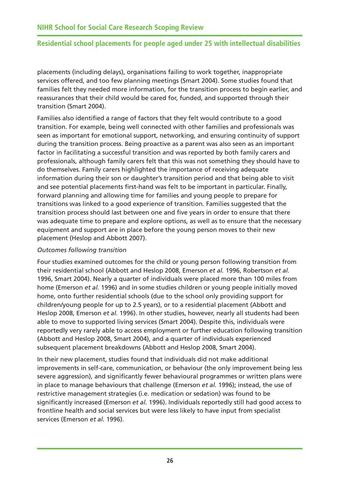placements (including delays), organisations failing to work together, inappropriate services offered, and too few planning meetings (Smart 2004). Some studies found that families felt they needed more information, for the transition process to begin earlier, and reassurances that their child would be cared for, funded, and supported through their transition (Smart 2004).

Families also identified a range of factors that they felt would contribute to a good transition. For example, being well connected with other families and professionals was seen as important for emotional support, networking, and ensuring continuity of support during the transition process. Being proactive as a parent was also seen as an important factor in facilitating a successful transition and was reported by both family carers and professionals, although family carers felt that this was not something they should have to do themselves. Family carers highlighted the importance of receiving adequate information during their son or daughter's transition period and that being able to visit and see potential placements first-hand was felt to be important in particular. Finally, forward planning and allowing time for families and young people to prepare for transitions was linked to a good experience of transition. Families suggested that the transition process should last between one and five years in order to ensure that there was adequate time to prepare and explore options, as well as to ensure that the necessary equipment and support are in place before the young person moves to their new placement (Heslop and Abbott 2007).

#### *Outcomes following transition*

Four studies examined outcomes for the child or young person following transition from their residential school (Abbott and Heslop 2008, Emerson *et al.* 1996, Robertson *et al.* 1996, Smart 2004). Nearly a quarter of individuals were placed more than 100 miles from home (Emerson *et al.* 1996) and in some studies children or young people initially moved home, onto further residential schools (due to the school only providing support for children/young people for up to 2.5 years), or to a residential placement (Abbott and Heslop 2008, Emerson *et al.* 1996). In other studies, however, nearly all students had been able to move to supported living services (Smart 2004). Despite this, individuals were reportedly very rarely able to access employment or further education following transition (Abbott and Heslop 2008, Smart 2004), and a quarter of individuals experienced subsequent placement breakdowns (Abbott and Heslop 2008, Smart 2004).

In their new placement, studies found that individuals did not make additional improvements in self-care, communication, or behaviour (the only improvement being less severe aggression), and significantly fewer behavioural programmes or written plans were in place to manage behaviours that challenge (Emerson *et al.* 1996); instead, the use of restrictive management strategies (i.e. medication or sedation) was found to be significantly increased (Emerson *et al.* 1996). Individuals reportedly still had good access to frontline health and social services but were less likely to have input from specialist services (Emerson *et al.* 1996).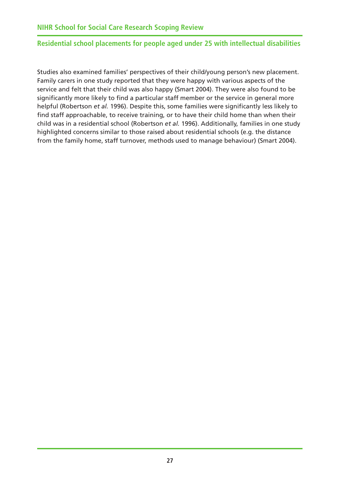<span id="page-31-0"></span>Studies also examined families' perspectives of their child/young person's new placement. Family carers in one study reported that they were happy with various aspects of the service and felt that their child was also happy (Smart 2004). They were also found to be significantly more likely to find a particular staff member or the service in general more helpful (Robertson *et al.* 1996). Despite this, some families were significantly less likely to find staff approachable, to receive training, or to have their child home than when their child was in a residential school (Robertson *et al.* 1996). Additionally, families in one study highlighted concerns similar to those raised about residential schools (e.g. the distance from the family home, staff turnover, methods used to manage behaviour) (Smart 2004).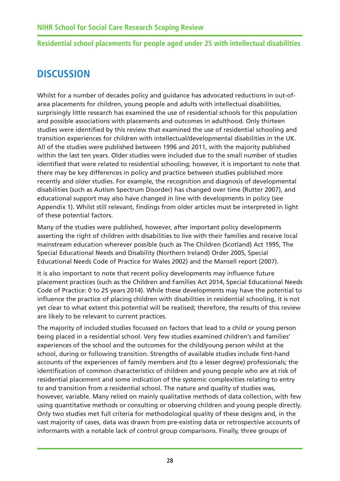# <span id="page-32-0"></span>**DISCUSSION**

Whilst for a number of decades policy and guidance has advocated reductions in out-ofarea placements for children, young people and adults with intellectual disabilities, surprisingly little research has examined the use of residential schools for this population and possible associations with placements and outcomes in adulthood. Only thirteen studies were identified by this review that examined the use of residential schooling and transition experiences for children with intellectual/developmental disabilities in the UK. All of the studies were published between 1996 and 2011, with the majority published within the last ten years. Older studies were included due to the small number of studies identified that were related to residential schooling; however, it is important to note that there may be key differences in policy and practice between studies published more recently and older studies. For example, the recognition and diagnosis of developmental disabilities (such as Autism Spectrum Disorder) has changed over time (Rutter 2007), and educational support may also have changed in line with developments in policy (see Appendix 1). Whilst still relevant, findings from older articles must be interpreted in light of these potential factors.

Many of the studies were published, however, after important policy developments asserting the right of children with disabilities to live with their families and receive local mainstream education wherever possible (such as The Children (Scotland) Act 1995, The Special Educational Needs and Disability (Northern Ireland) Order 2005, Special Educational Needs Code of Practice for Wales 2002) and the Mansell report (2007).

It is also important to note that recent policy developments may influence future placement practices (such as the Children and Families Act 2014, Special Educational Needs Code of Practice: 0 to 25 years 2014). While these developments may have the potential to influence the practice of placing children with disabilities in residential schooling, it is not yet clear to what extent this potential will be realised; therefore, the results of this review are likely to be relevant to current practices.

The majority of included studies focussed on factors that lead to a child or young person being placed in a residential school. Very few studies examined children's and families' experiences of the school and the outcomes for the child/young person whilst at the school, during or following transition. Strengths of available studies include first-hand accounts of the experiences of family members and (to a lesser degree) professionals; the identification of common characteristics of children and young people who are at risk of residential placement and some indication of the systemic complexities relating to entry to and transition from a residential school. The nature and quality of studies was, however, variable. Many relied on mainly qualitative methods of data collection, with few using quantitative methods or consulting or observing children and young people directly. Only two studies met full criteria for methodological quality of these designs and, in the vast majority of cases, data was drawn from pre-existing data or retrospective accounts of informants with a notable lack of control group comparisons. Finally, three groups of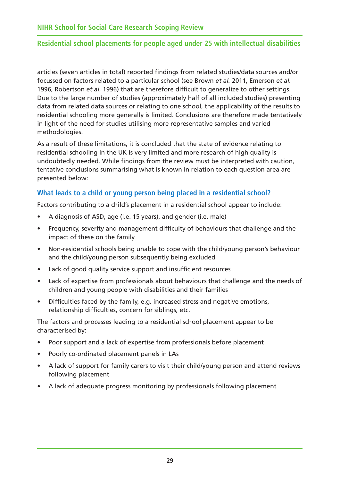<span id="page-33-0"></span>articles (seven articles in total) reported findings from related studies/data sources and/or focussed on factors related to a particular school (see Brown *et al.* 2011, Emerson *et al.* 1996, Robertson *et al.* 1996) that are therefore difficult to generalize to other settings. Due to the large number of studies (approximately half of all included studies) presenting data from related data sources or relating to one school, the applicability of the results to residential schooling more generally is limited. Conclusions are therefore made tentatively in light of the need for studies utilising more representative samples and varied methodologies.

As a result of these limitations, it is concluded that the state of evidence relating to residential schooling in the UK is very limited and more research of high quality is undoubtedly needed. While findings from the review must be interpreted with caution, tentative conclusions summarising what is known in relation to each question area are presented below:

## **What leads to a child or young person being placed in a residential school?**

Factors contributing to a child's placement in a residential school appear to include:

- A diagnosis of ASD, age (i.e. 15 years), and gender (i.e. male)
- Frequency, severity and management difficulty of behaviours that challenge and the impact of these on the family
- Non-residential schools being unable to cope with the child/young person's behaviour and the child/young person subsequently being excluded
- Lack of good quality service support and insufficient resources
- Lack of expertise from professionals about behaviours that challenge and the needs of children and young people with disabilities and their families
- Difficulties faced by the family, e.g. increased stress and negative emotions, relationship difficulties, concern for siblings, etc.

The factors and processes leading to a residential school placement appear to be characterised by:

- Poor support and a lack of expertise from professionals before placement
- Poorly co-ordinated placement panels in LAs
- A lack of support for family carers to visit their child/young person and attend reviews following placement
- A lack of adequate progress monitoring by professionals following placement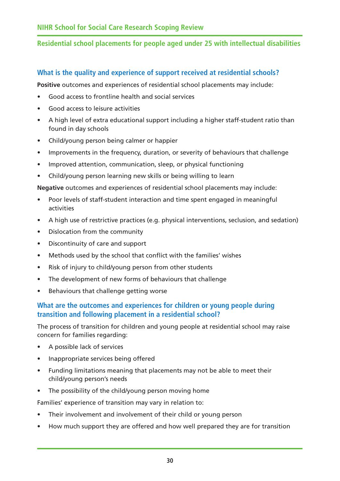# **What is the quality and experience of support received at residential schools?**

**Positive** outcomes and experiences of residential school placements may include:

- Good access to frontline health and social services
- Good access to leisure activities
- A high level of extra educational support including a higher staff-student ratio than found in day schools
- Child/young person being calmer or happier
- Improvements in the frequency, duration, or severity of behaviours that challenge
- Improved attention, communication, sleep, or physical functioning
- Child/young person learning new skills or being willing to learn

**Negative** outcomes and experiences of residential school placements may include:

- Poor levels of staff-student interaction and time spent engaged in meaningful activities
- A high use of restrictive practices (e.g. physical interventions, seclusion, and sedation)
- Dislocation from the community
- Discontinuity of care and support
- Methods used by the school that conflict with the families' wishes
- Risk of injury to child/young person from other students
- The development of new forms of behaviours that challenge
- Behaviours that challenge getting worse

# **What are the outcomes and experiences for children or young people during transition and following placement in a residential school?**

The process of transition for children and young people at residential school may raise concern for families regarding:

- A possible lack of services
- Inappropriate services being offered
- Funding limitations meaning that placements may not be able to meet their child/young person's needs
- The possibility of the child/young person moving home

Families' experience of transition may vary in relation to:

- Their involvement and involvement of their child or young person
- How much support they are offered and how well prepared they are for transition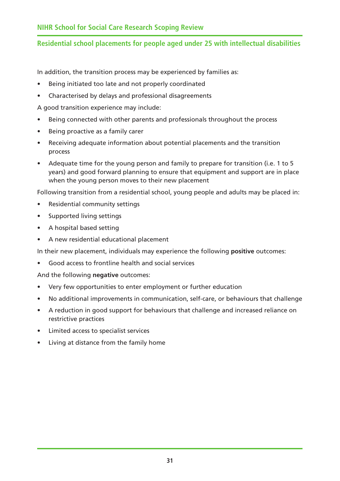<span id="page-35-0"></span>In addition, the transition process may be experienced by families as:

- Being initiated too late and not properly coordinated
- Characterised by delays and professional disagreements

A good transition experience may include:

- Being connected with other parents and professionals throughout the process
- Being proactive as a family carer
- Receiving adequate information about potential placements and the transition process
- Adequate time for the young person and family to prepare for transition (i.e. 1 to 5 years) and good forward planning to ensure that equipment and support are in place when the young person moves to their new placement

Following transition from a residential school, young people and adults may be placed in:

- Residential community settings
- Supported living settings
- A hospital based setting
- A new residential educational placement

In their new placement, individuals may experience the following **positive** outcomes:

• Good access to frontline health and social services

And the following **negative** outcomes:

- Very few opportunities to enter employment or further education
- No additional improvements in communication, self-care, or behaviours that challenge
- A reduction in good support for behaviours that challenge and increased reliance on restrictive practices
- Limited access to specialist services
- Living at distance from the family home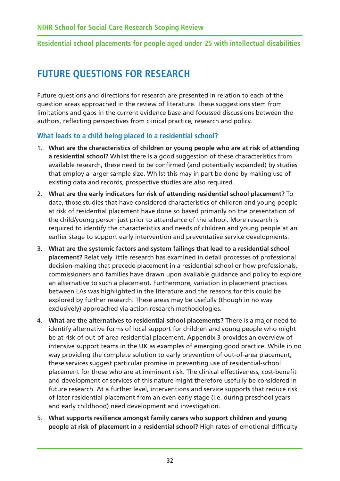# <span id="page-36-0"></span>**FUTURE QUESTIONS FOR RESEARCH**

Future questions and directions for research are presented in relation to each of the question areas approached in the review of literature. These suggestions stem from limitations and gaps in the current evidence base and focussed discussions between the authors, reflecting perspectives from clinical practice, research and policy.

## **What leads to a child being placed in a residential school?**

- 1. **What are the characteristics of children or young people who are at risk of attending a residential school?** Whilst there is a good suggestion of these characteristics from available research, these need to be confirmed (and potentially expanded) by studies that employ a larger sample size. Whilst this may in part be done by making use of existing data and records, prospective studies are also required.
- 2. **What are the early indicators for risk of attending residential school placement?** To date, those studies that have considered characteristics of children and young people at risk of residential placement have done so based primarily on the presentation of the child/young person just prior to attendance of the school. More research is required to identify the characteristics and needs of children and young people at an earlier stage to support early intervention and preventative service developments.
- 3. **What are the systemic factors and system failings that lead to a residential school placement?** Relatively little research has examined in detail processes of professional decision-making that precede placement in a residential school or how professionals, commissioners and families have drawn upon available guidance and policy to explore an alternative to such a placement. Furthermore, variation in placement practices between LAs was highlighted in the literature and the reasons for this could be explored by further research. These areas may be usefully (though in no way exclusively) approached via action research methodologies.
- 4. **What are the alternatives to residential school placements?** There is a major need to identify alternative forms of local support for children and young people who might be at risk of out-of-area residential placement. Appendix 3 provides an overview of intensive support teams in the UK as examples of emerging good practice. While in no way providing the complete solution to early prevention of out-of-area placement, these services suggest particular promise in preventing use of residential-school placement for those who are at imminent risk. The clinical effectiveness, cost-benefit and development of services of this nature might therefore usefully be considered in future research. At a further level, interventions and service supports that reduce risk of later residential placement from an even early stage (i.e. during preschool years and early childhood) need development and investigation.
- 5. **What supports resilience amongst family carers who support children and young people at risk of placement in a residential school?** High rates of emotional difficulty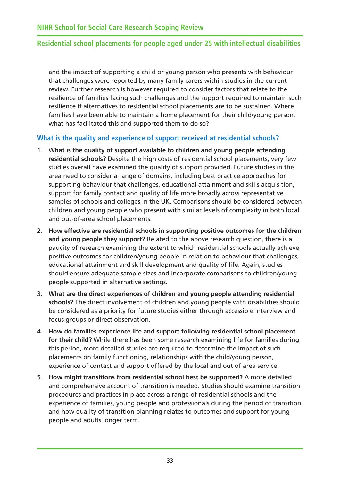<span id="page-37-0"></span>and the impact of supporting a child or young person who presents with behaviour that challenges were reported by many family carers within studies in the current review. Further research is however required to consider factors that relate to the resilience of families facing such challenges and the support required to maintain such resilience if alternatives to residential school placements are to be sustained. Where families have been able to maintain a home placement for their child/young person, what has facilitated this and supported them to do so?

## **What is the quality and experience of support received at residential schools?**

- 1. W**hat is the quality of support available to children and young people attending residential schools?** Despite the high costs of residential school placements, very few studies overall have examined the quality of support provided. Future studies in this area need to consider a range of domains, including best practice approaches for supporting behaviour that challenges, educational attainment and skills acquisition, support for family contact and quality of life more broadly across representative samples of schools and colleges in the UK. Comparisons should be considered between children and young people who present with similar levels of complexity in both local and out-of-area school placements.
- 2. **How effective are residential schools in supporting positive outcomes for the children and young people they support?** Related to the above research question, there is a paucity of research examining the extent to which residential schools actually achieve positive outcomes for children/young people in relation to behaviour that challenges, educational attainment and skill development and quality of life. Again, studies should ensure adequate sample sizes and incorporate comparisons to children/young people supported in alternative settings.
- 3. **What are the direct experiences of children and young people attending residential schools?** The direct involvement of children and young people with disabilities should be considered as a priority for future studies either through accessible interview and focus groups or direct observation.
- 4. **How do families experience life and support following residential school placement for their child?** While there has been some research examining life for families during this period, more detailed studies are required to determine the impact of such placements on family functioning, relationships with the child/young person, experience of contact and support offered by the local and out of area service.
- 5. **How might transitions from residential school best be supported?** A more detailed and comprehensive account of transition is needed. Studies should examine transition procedures and practices in place across a range of residential schools and the experience of families, young people and professionals during the period of transition and how quality of transition planning relates to outcomes and support for young people and adults longer term.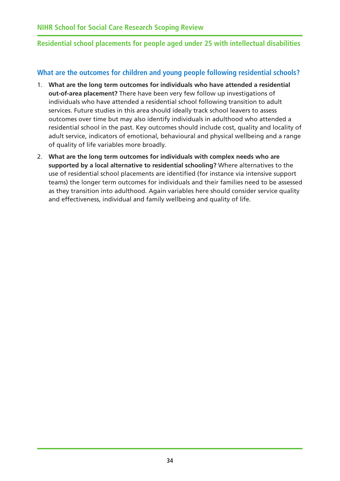## <span id="page-38-0"></span>**What are the outcomes for children and young people following residential schools?**

- 1. **What are the long term outcomes for individuals who have attended a residential out-of-area placement?** There have been very few follow up investigations of individuals who have attended a residential school following transition to adult services. Future studies in this area should ideally track school leavers to assess outcomes over time but may also identify individuals in adulthood who attended a residential school in the past. Key outcomes should include cost, quality and locality of adult service, indicators of emotional, behavioural and physical wellbeing and a range of quality of life variables more broadly.
- 2. **What are the long term outcomes for individuals with complex needs who are supported by a local alternative to residential schooling?** Where alternatives to the use of residential school placements are identified (for instance via intensive support teams) the longer term outcomes for individuals and their families need to be assessed as they transition into adulthood. Again variables here should consider service quality and effectiveness, individual and family wellbeing and quality of life.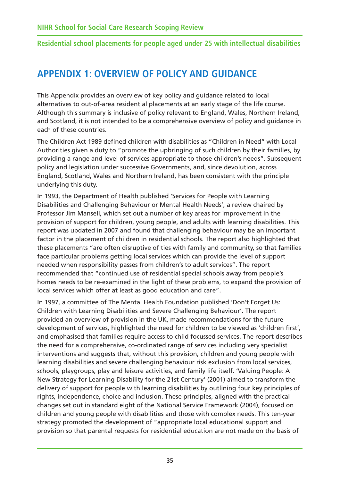# **APPENDIX 1: OVERVIEW OF POLICY AND GUIDANCE**

This Appendix provides an overview of key policy and guidance related to local alternatives to out-of-area residential placements at an early stage of the life course. Although this summary is inclusive of policy relevant to England, Wales, Northern Ireland, and Scotland, it is not intended to be a comprehensive overview of policy and guidance in each of these countries.

The Children Act 1989 defined children with disabilities as "Children in Need" with Local Authorities given a duty to "promote the upbringing of such children by their families, by providing a range and level of services appropriate to those children's needs". Subsequent policy and legislation under successive Governments, and, since devolution, across England, Scotland, Wales and Northern Ireland, has been consistent with the principle underlying this duty.

In 1993, the Department of Health published 'Services for People with Learning Disabilities and Challenging Behaviour or Mental Health Needs', a review chaired by Professor Jim Mansell, which set out a number of key areas for improvement in the provision of support for children, young people, and adults with learning disabilities. This report was updated in 2007 and found that challenging behaviour may be an important factor in the placement of children in residential schools. The report also highlighted that these placements "are often disruptive of ties with family and community, so that families face particular problems getting local services which can provide the level of support needed when responsibility passes from children's to adult services". The report recommended that "continued use of residential special schools away from people's homes needs to be re-examined in the light of these problems, to expand the provision of local services which offer at least as good education and care".

In 1997, a committee of The Mental Health Foundation published 'Don't Forget Us: Children with Learning Disabilities and Severe Challenging Behaviour'. The report provided an overview of provision in the UK, made recommendations for the future development of services, highlighted the need for children to be viewed as 'children first', and emphasised that families require access to child focussed services. The report describes the need for a comprehensive, co-ordinated range of services including very specialist interventions and suggests that, without this provision, children and young people with learning disabilities and severe challenging behaviour risk exclusion from local services, schools, playgroups, play and leisure activities, and family life itself. 'Valuing People: A New Strategy for Learning Disability for the 21st Century' (2001) aimed to transform the delivery of support for people with learning disabilities by outlining four key principles of rights, independence, choice and inclusion. These principles, aligned with the practical changes set out in standard eight of the National Service Framework (2004), focused on children and young people with disabilities and those with complex needs. This ten-year strategy promoted the development of "appropriate local educational support and provision so that parental requests for residential education are not made on the basis of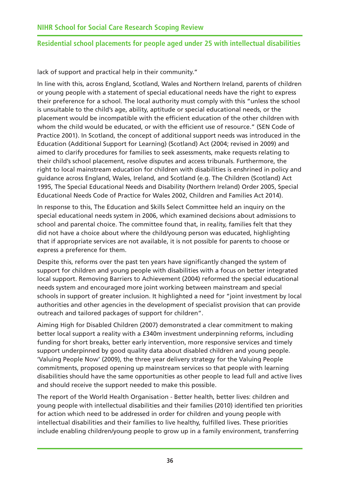lack of support and practical help in their community."

In line with this, across England, Scotland, Wales and Northern Ireland, parents of children or young people with a statement of special educational needs have the right to express their preference for a school. The local authority must comply with this "unless the school is unsuitable to the child's age, ability, aptitude or special educational needs, or the placement would be incompatible with the efficient education of the other children with whom the child would be educated, or with the efficient use of resource." (SEN Code of Practice 2001). In Scotland, the concept of additional support needs was introduced in the Education (Additional Support for Learning) (Scotland) Act (2004; revised in 2009) and aimed to clarify procedures for families to seek assessments, make requests relating to their child's school placement, resolve disputes and access tribunals. Furthermore, the right to local mainstream education for children with disabilities is enshrined in policy and guidance across England, Wales, Ireland, and Scotland (e.g. The Children (Scotland) Act 1995, The Special Educational Needs and Disability (Northern Ireland) Order 2005, Special Educational Needs Code of Practice for Wales 2002, Children and Families Act 2014).

In response to this, The Education and Skills Select Committee held an inquiry on the special educational needs system in 2006, which examined decisions about admissions to school and parental choice. The committee found that, in reality, families felt that they did not have a choice about where the child/young person was educated, highlighting that if appropriate services are not available, it is not possible for parents to choose or express a preference for them.

Despite this, reforms over the past ten years have significantly changed the system of support for children and young people with disabilities with a focus on better integrated local support. Removing Barriers to Achievement (2004) reformed the special educational needs system and encouraged more joint working between mainstream and special schools in support of greater inclusion. It highlighted a need for "joint investment by local authorities and other agencies in the development of specialist provision that can provide outreach and tailored packages of support for children".

Aiming High for Disabled Children (2007) demonstrated a clear commitment to making better local support a reality with a £340m investment underpinning reforms, including funding for short breaks, better early intervention, more responsive services and timely support underpinned by good quality data about disabled children and young people. 'Valuing People Now' (2009), the three year delivery strategy for the Valuing People commitments, proposed opening up mainstream services so that people with learning disabilities should have the same opportunities as other people to lead full and active lives and should receive the support needed to make this possible.

The report of the World Health Organisation - Better health, better lives: children and young people with intellectual disabilities and their families (2010) identified ten priorities for action which need to be addressed in order for children and young people with intellectual disabilities and their families to live healthy, fulfilled lives. These priorities include enabling children/young people to grow up in a family environment, transferring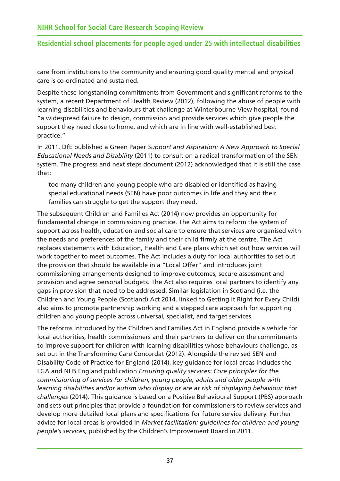care from institutions to the community and ensuring good quality mental and physical care is co-ordinated and sustained.

Despite these longstanding commitments from Government and significant reforms to the system, a recent Department of Health Review (2012), following the abuse of people with learning disabilities and behaviours that challenge at Winterbourne View hospital, found "a widespread failure to design, commission and provide services which give people the support they need close to home, and which are in line with well-established best practice."

In 2011, DfE published a Green Paper *Support and Aspiration: A New Approach to Special Educational Needs and Disability* (2011) to consult on a radical transformation of the SEN system. The progress and next steps document (2012) acknowledged that it is still the case that:

too many children and young people who are disabled or identified as having special educational needs (SEN) have poor outcomes in life and they and their families can struggle to get the support they need.

The subsequent Children and Families Act (2014) now provides an opportunity for fundamental change in commissioning practice. The Act aims to reform the system of support across health, education and social care to ensure that services are organised with the needs and preferences of the family and their child firmly at the centre. The Act replaces statements with Education, Health and Care plans which set out how services will work together to meet outcomes. The Act includes a duty for local authorities to set out the provision that should be available in a "Local Offer" and introduces joint commissioning arrangements designed to improve outcomes, secure assessment and provision and agree personal budgets. The Act also requires local partners to identify any gaps in provision that need to be addressed. Similar legislation in Scotland (i.e. the Children and Young People (Scotland) Act 2014, linked to Getting it Right for Every Child) also aims to promote partnership working and a stepped care approach for supporting children and young people across universal, specialist, and target services.

The reforms introduced by the Children and Families Act in England provide a vehicle for local authorities, health commissioners and their partners to deliver on the commitments to improve support for children with learning disabilities whose behaviours challenge, as set out in the Transforming Care Concordat (2012). Alongside the revised SEN and Disability Code of Practice for England (2014), key guidance for local areas includes the LGA and NHS England publication *Ensuring quality services: Core principles for the commissioning of services for children, young people, adults and older people with learning disabilities and/or autism who display or are at risk of displaying behaviour that challenges* (2014). This guidance is based on a Positive Behavioural Support (PBS) approach and sets out principles that provide a foundation for commissioners to review services and develop more detailed local plans and specifications for future service delivery. Further advice for local areas is provided in *Market facilitation: guidelines for children and young people's services*, published by the Children's Improvement Board in 2011.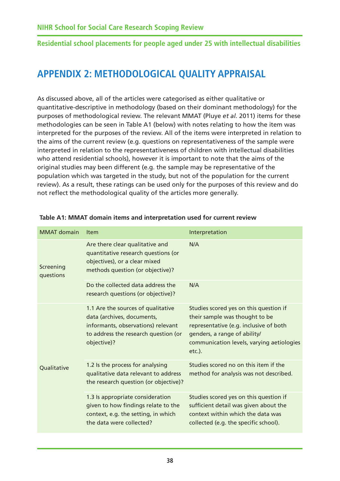# **APPENDIX 2: METHODOLOGICAL QUALITY APPRAISAL**

As discussed above, all of the articles were categorised as either qualitative or quantitative-descriptive in methodology (based on their dominant methodology) for the purposes of methodological review. The relevant MMAT (Pluye *et al.* 2011) items for these methodologies can be seen in Table A1 (below) with notes relating to how the item was interpreted for the purposes of the review. All of the items were interpreted in relation to the aims of the current review (e.g. questions on representativeness of the sample were interpreted in relation to the representativeness of children with intellectual disabilities who attend residential schools), however it is important to note that the aims of the original studies may been different (e.g. the sample may be representative of the population which was targeted in the study, but not of the population for the current review). As a result, these ratings can be used only for the purposes of this review and do not reflect the methodological quality of the articles more generally.

| <b>MMAT</b> domain     | <b>Item</b>                                                                                                                                                   | Interpretation                                                                                                                                                                                            |
|------------------------|---------------------------------------------------------------------------------------------------------------------------------------------------------------|-----------------------------------------------------------------------------------------------------------------------------------------------------------------------------------------------------------|
| Screening<br>questions | Are there clear qualitative and<br>quantitative research questions (or<br>objectives), or a clear mixed<br>methods question (or objective)?                   | N/A                                                                                                                                                                                                       |
|                        | Do the collected data address the<br>research questions (or objective)?                                                                                       | N/A                                                                                                                                                                                                       |
|                        | 1.1 Are the sources of qualitative<br>data (archives, documents,<br>informants, observations) relevant<br>to address the research question (or<br>objective)? | Studies scored yes on this question if<br>their sample was thought to be<br>representative (e.g. inclusive of both<br>genders, a range of ability/<br>communication levels, varying aetiologies<br>etc.). |
| Qualitative            | 1.2 Is the process for analysing<br>qualitative data relevant to address<br>the research question (or objective)?                                             | Studies scored no on this item if the<br>method for analysis was not described.                                                                                                                           |
|                        | 1.3 Is appropriate consideration<br>given to how findings relate to the<br>context, e.g. the setting, in which<br>the data were collected?                    | Studies scored yes on this question if<br>sufficient detail was given about the<br>context within which the data was<br>collected (e.g. the specific school).                                             |

#### **Table A1: MMAT domain items and interpretation used for current review**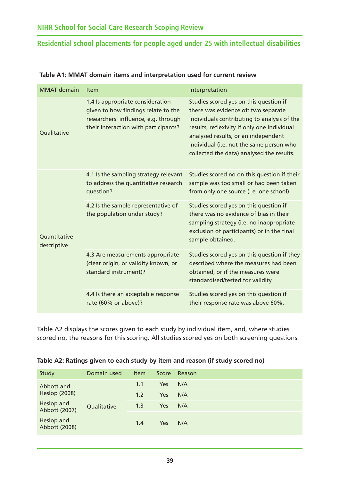| <b>MMAT</b> domain           | Item                                                                                                                                                    | Interpretation                                                                                                                                                                                                                                                                                              |
|------------------------------|---------------------------------------------------------------------------------------------------------------------------------------------------------|-------------------------------------------------------------------------------------------------------------------------------------------------------------------------------------------------------------------------------------------------------------------------------------------------------------|
| Qualitative                  | 1.4 Is appropriate consideration<br>given to how findings relate to the<br>researchers' influence, e.g. through<br>their interaction with participants? | Studies scored yes on this question if<br>there was evidence of: two separate<br>individuals contributing to analysis of the<br>results, reflexivity if only one individual<br>analysed results, or an independent<br>individual (i.e. not the same person who<br>collected the data) analysed the results. |
|                              | 4.1 Is the sampling strategy relevant<br>to address the quantitative research<br>question?                                                              | Studies scored no on this question if their<br>sample was too small or had been taken<br>from only one source (i.e. one school).                                                                                                                                                                            |
| Quantitative-<br>descriptive | 4.2 Is the sample representative of<br>the population under study?                                                                                      | Studies scored yes on this question if<br>there was no evidence of bias in their<br>sampling strategy (i.e. no inappropriate<br>exclusion of participants) or in the final<br>sample obtained.                                                                                                              |
|                              | 4.3 Are measurements appropriate<br>(clear origin, or validity known, or<br>standard instrument)?                                                       | Studies scored yes on this question if they<br>described where the measures had been<br>obtained, or if the measures were<br>standardised/tested for validity.                                                                                                                                              |
|                              | 4.4 Is there an acceptable response<br>rate (60% or above)?                                                                                             | Studies scored yes on this question if<br>their response rate was above 60%.                                                                                                                                                                                                                                |

#### **Table A1: MMAT domain items and interpretation used for current review**

Table A2 displays the scores given to each study by individual item, and, where studies scored no, the reasons for this scoring. All studies scored yes on both screening questions.

| Table A2: Ratings given to each study by item and reason (if study scored no) |  |  |  |  |  |
|-------------------------------------------------------------------------------|--|--|--|--|--|
|-------------------------------------------------------------------------------|--|--|--|--|--|

| Study                       | Domain used | <b>Item</b> | Score      | Reason |
|-----------------------------|-------------|-------------|------------|--------|
| Abbott and                  |             | 1.1         | <b>Yes</b> | N/A    |
| <b>Heslop (2008)</b>        |             | 1.2         | <b>Yes</b> | N/A    |
| Heslop and<br>Abbott (2007) | Qualitative | 1.3         | Yes        | N/A    |
| Heslop and<br>Abbott (2008) |             | 1.4         | Yes        | N/A    |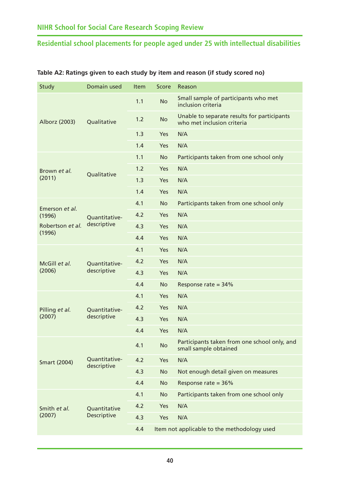| Small sample of participants who met                                      |
|---------------------------------------------------------------------------|
| Unable to separate results for participants<br>who met inclusion criteria |
|                                                                           |
|                                                                           |
| Participants taken from one school only                                   |
|                                                                           |
|                                                                           |
|                                                                           |
| Participants taken from one school only                                   |
|                                                                           |
|                                                                           |
|                                                                           |
|                                                                           |
|                                                                           |
|                                                                           |
|                                                                           |
|                                                                           |
|                                                                           |
|                                                                           |
|                                                                           |
| Participants taken from one school only, and                              |
|                                                                           |
| Not enough detail given on measures                                       |
|                                                                           |
| Participants taken from one school only                                   |
|                                                                           |
|                                                                           |
| Item not applicable to the methodology used                               |
|                                                                           |

#### <span id="page-44-0"></span>**Table A2: Ratings given to each study by item and reason (if study scored no)**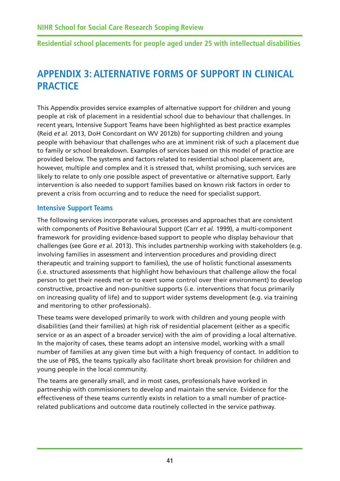# **APPENDIX 3: ALTERNATIVE FORMS OF SUPPORT IN CLINICAL PRACTICE**

This Appendix provides service examples of alternative support for children and young people at risk of placement in a residential school due to behaviour that challenges. In recent years, Intensive Support Teams have been highlighted as best practice examples (Reid *et al.* 2013, DoH Concordant on WV 2012b) for supporting children and young people with behaviour that challenges who are at imminent risk of such a placement due to family or school breakdown. Examples of services based on this model of practice are provided below. The systems and factors related to residential school placement are, however, multiple and complex and it is stressed that, whilst promising, such services are likely to relate to only one possible aspect of preventative or alternative support. Early intervention is also needed to support families based on known risk factors in order to prevent a crisis from occurring and to reduce the need for specialist support.

#### **Intensive Support Teams**

The following services incorporate values, processes and approaches that are consistent with components of Positive Behavioural Support (Carr *et al.* 1999), a multi-component framework for providing evidence-based support to people who display behaviour that challenges (see Gore *et al.* 2013). This includes partnership working with stakeholders (e.g. involving families in assessment and intervention procedures and providing direct therapeutic and training support to families), the use of holistic functional assessments (i.e. structured assessments that highlight how behaviours that challenge allow the focal person to get their needs met or to exert some control over their environment) to develop constructive, proactive and non-punitive supports (i.e. interventions that focus primarily on increasing quality of life) and to support wider systems development (e.g. via training and mentoring to other professionals).

These teams were developed primarily to work with children and young people with disabilities (and their families) at high risk of residential placement (either as a specific service or as an aspect of a broader service) with the aim of providing a local alternative. In the majority of cases, these teams adopt an intensive model, working with a small number of families at any given time but with a high frequency of contact. In addition to the use of PBS, the teams typically also facilitate short break provision for children and young people in the local community.

The teams are generally small, and in most cases, professionals have worked in partnership with commissioners to develop and maintain the service. Evidence for the effectiveness of these teams currently exists in relation to a small number of practicerelated publications and outcome data routinely collected in the service pathway.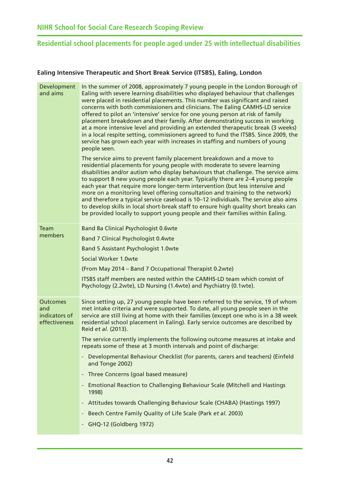#### **Ealing Intensive Therapeutic and Short Break Service (ITSBS), Ealing, London**

| Development<br>and aims                                  | In the summer of 2008, approximately 7 young people in the London Borough of<br>Ealing with severe learning disabilities who displayed behaviour that challenges<br>were placed in residential placements. This number was significant and raised<br>concerns with both commissioners and clinicians. The Ealing CAMHS-LD service<br>offered to pilot an 'intensive' service for one young person at risk of family<br>placement breakdown and their family. After demonstrating success in working<br>at a more intensive level and providing an extended therapeutic break (3 weeks)<br>in a local respite setting, commissioners agreed to fund the ITSBS. Since 2009, the<br>service has grown each year with increases in staffing and numbers of young<br>people seen. |
|----------------------------------------------------------|------------------------------------------------------------------------------------------------------------------------------------------------------------------------------------------------------------------------------------------------------------------------------------------------------------------------------------------------------------------------------------------------------------------------------------------------------------------------------------------------------------------------------------------------------------------------------------------------------------------------------------------------------------------------------------------------------------------------------------------------------------------------------|
|                                                          | The service aims to prevent family placement breakdown and a move to<br>residential placements for young people with moderate to severe learning<br>disabilities and/or autism who display behaviours that challenge. The service aims<br>to support 8 new young people each year. Typically there are 2-4 young people<br>each year that require more longer-term intervention (but less intensive and<br>more on a monitoring level offering consultation and training to the network)<br>and therefore a typical service caseload is 10-12 individuals. The service also aims<br>to develop skills in local short-break staff to ensure high quality short breaks can<br>be provided locally to support young people and their families within Ealing.                    |
| Team                                                     | Band 8a Clinical Psychologist 0.6wte                                                                                                                                                                                                                                                                                                                                                                                                                                                                                                                                                                                                                                                                                                                                         |
| members                                                  | <b>Band 7 Clinical Psychologist 0.4wte</b>                                                                                                                                                                                                                                                                                                                                                                                                                                                                                                                                                                                                                                                                                                                                   |
|                                                          | <b>Band 5 Assistant Psychologist 1.0wte</b>                                                                                                                                                                                                                                                                                                                                                                                                                                                                                                                                                                                                                                                                                                                                  |
|                                                          | Social Worker 1.0wte                                                                                                                                                                                                                                                                                                                                                                                                                                                                                                                                                                                                                                                                                                                                                         |
|                                                          | (From May 2014 - Band 7 Occupational Therapist 0.2wte)                                                                                                                                                                                                                                                                                                                                                                                                                                                                                                                                                                                                                                                                                                                       |
|                                                          | ITSBS staff members are nested within the CAMHS-LD team which consist of<br>Psychology (2.2wte), LD Nursing (1.4wte) and Psychiatry (0.1wte).                                                                                                                                                                                                                                                                                                                                                                                                                                                                                                                                                                                                                                |
| <b>Outcomes</b><br>and<br>indicators of<br>effectiveness | Since setting up, 27 young people have been referred to the service, 19 of whom<br>met intake criteria and were supported. To date, all young people seen in the<br>service are still living at home with their families (except one who is in a 38 week<br>residential school placement in Ealing). Early service outcomes are described by<br>Reid et al. (2013).                                                                                                                                                                                                                                                                                                                                                                                                          |
|                                                          | The service currently implements the following outcome measures at intake and<br>repeats some of these at 3 month intervals and point of discharge:                                                                                                                                                                                                                                                                                                                                                                                                                                                                                                                                                                                                                          |
|                                                          | - Developmental Behaviour Checklist (for parents, carers and teachers) (Einfeld<br>and Tonge 2002)                                                                                                                                                                                                                                                                                                                                                                                                                                                                                                                                                                                                                                                                           |
|                                                          | - Three Concerns (goal based measure)                                                                                                                                                                                                                                                                                                                                                                                                                                                                                                                                                                                                                                                                                                                                        |
|                                                          | - Emotional Reaction to Challenging Behaviour Scale (Mitchell and Hastings<br>1998)                                                                                                                                                                                                                                                                                                                                                                                                                                                                                                                                                                                                                                                                                          |
|                                                          | Attitudes towards Challenging Behaviour Scale (CHABA) (Hastings 1997)                                                                                                                                                                                                                                                                                                                                                                                                                                                                                                                                                                                                                                                                                                        |
|                                                          | Beech Centre Family Quality of Life Scale (Park et al. 2003)                                                                                                                                                                                                                                                                                                                                                                                                                                                                                                                                                                                                                                                                                                                 |
|                                                          | - GHQ-12 (Goldberg 1972)                                                                                                                                                                                                                                                                                                                                                                                                                                                                                                                                                                                                                                                                                                                                                     |
|                                                          |                                                                                                                                                                                                                                                                                                                                                                                                                                                                                                                                                                                                                                                                                                                                                                              |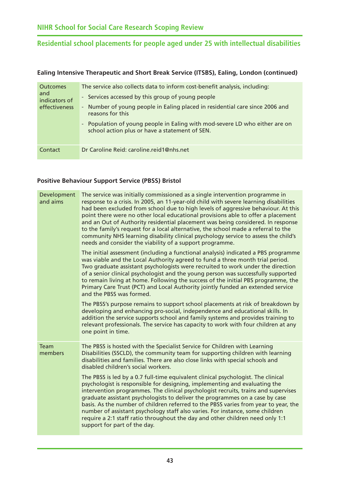#### **Ealing Intensive Therapeutic and Short Break Service (ITSBS), Ealing, London (continued)**

| <b>Outcomes</b><br>and<br>indicators of<br>effectiveness | The service also collects data to inform cost-benefit analysis, including:<br>- Services accessed by this group of young people<br>- Number of young people in Ealing placed in residential care since 2006 and<br>reasons for this<br>- Population of young people in Ealing with mod-severe LD who either are on<br>school action plus or have a statement of SEN. |
|----------------------------------------------------------|----------------------------------------------------------------------------------------------------------------------------------------------------------------------------------------------------------------------------------------------------------------------------------------------------------------------------------------------------------------------|
| Contact                                                  | Dr Caroline Reid: caroline.reid1@nhs.net                                                                                                                                                                                                                                                                                                                             |

#### **Positive Behaviour Support Service (PBSS) Bristol**

| Development<br>and aims | The service was initially commissioned as a single intervention programme in<br>response to a crisis. In 2005, an 11-year-old child with severe learning disabilities<br>had been excluded from school due to high levels of aggressive behaviour. At this<br>point there were no other local educational provisions able to offer a placement<br>and an Out of Authority residential placement was being considered. In response<br>to the family's request for a local alternative, the school made a referral to the<br>community NHS learning disability clinical psychology service to assess the child's<br>needs and consider the viability of a support programme. |
|-------------------------|----------------------------------------------------------------------------------------------------------------------------------------------------------------------------------------------------------------------------------------------------------------------------------------------------------------------------------------------------------------------------------------------------------------------------------------------------------------------------------------------------------------------------------------------------------------------------------------------------------------------------------------------------------------------------|
|                         | The initial assessment (including a functional analysis) indicated a PBS programme<br>was viable and the Local Authority agreed to fund a three month trial period.<br>Two graduate assistant psychologists were recruited to work under the direction<br>of a senior clinical psychologist and the young person was successfully supported<br>to remain living at home. Following the success of the initial PBS programme, the<br>Primary Care Trust (PCT) and Local Authority jointly funded an extended service<br>and the PBSS was formed.                                                                                                                            |
|                         | The PBSS's purpose remains to support school placements at risk of breakdown by<br>developing and enhancing pro-social, independence and educational skills. In<br>addition the service supports school and family systems and provides training to<br>relevant professionals. The service has capacity to work with four children at any<br>one point in time.                                                                                                                                                                                                                                                                                                            |
| <b>Team</b><br>members  | The PBSS is hosted with the Specialist Service for Children with Learning<br>Disabilities (SSCLD), the community team for supporting children with learning<br>disabilities and families. There are also close links with special schools and<br>disabled children's social workers.                                                                                                                                                                                                                                                                                                                                                                                       |
|                         | The PBSS is led by a 0.7 full-time equivalent clinical psychologist. The clinical<br>psychologist is responsible for designing, implementing and evaluating the<br>intervention programmes. The clinical psychologist recruits, trains and supervises<br>graduate assistant psychologists to deliver the programmes on a case by case<br>basis. As the number of children referred to the PBSS varies from year to year, the<br>number of assistant psychology staff also varies. For instance, some children<br>require a 2:1 staff ratio throughout the day and other children need only 1:1<br>support for part of the day.                                             |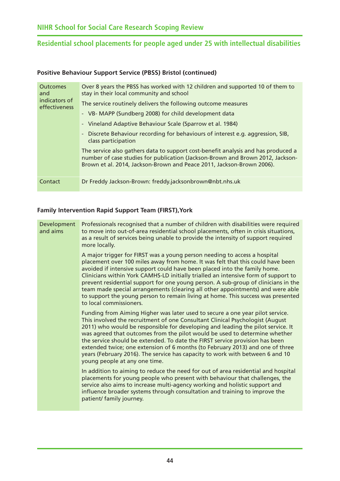#### **Positive Behaviour Support Service (PBSS) Bristol (continued)**

| <b>Outcomes</b><br>and<br>indicators of<br>effectiveness | Over 8 years the PBSS has worked with 12 children and supported 10 of them to<br>stay in their local community and school<br>The service routinely delivers the following outcome measures<br>- VB- MAPP (Sundberg 2008) for child development data<br>- Vineland Adaptive Behaviour Scale (Sparrow et al. 1984)<br>- Discrete Behaviour recording for behaviours of interest e.g. aggression, SIB,<br>class participation<br>The service also gathers data to support cost-benefit analysis and has produced a<br>number of case studies for publication (Jackson-Brown and Brown 2012, Jackson-<br>Brown et al. 2014, Jackson-Brown and Peace 2011, Jackson-Brown 2006). |
|----------------------------------------------------------|----------------------------------------------------------------------------------------------------------------------------------------------------------------------------------------------------------------------------------------------------------------------------------------------------------------------------------------------------------------------------------------------------------------------------------------------------------------------------------------------------------------------------------------------------------------------------------------------------------------------------------------------------------------------------|
| Contact                                                  | Dr Freddy Jackson-Brown: freddy.jacksonbrown@nbt.nhs.uk                                                                                                                                                                                                                                                                                                                                                                                                                                                                                                                                                                                                                    |

#### **Family Intervention Rapid Support Team (FIRST),York**

| A major trigger for FIRST was a young person needing to access a hospital<br>placement over 100 miles away from home. It was felt that this could have been<br>avoided if intensive support could have been placed into the family home.<br>Clinicians within York CAMHS-LD initially trialled an intensive form of support to<br>prevent residential support for one young person. A sub-group of clinicians in the                                                                                                                                                                                               |
|--------------------------------------------------------------------------------------------------------------------------------------------------------------------------------------------------------------------------------------------------------------------------------------------------------------------------------------------------------------------------------------------------------------------------------------------------------------------------------------------------------------------------------------------------------------------------------------------------------------------|
| team made special arrangements (clearing all other appointments) and were able<br>to support the young person to remain living at home. This success was presented<br>to local commissioners.                                                                                                                                                                                                                                                                                                                                                                                                                      |
| Funding from Aiming Higher was later used to secure a one year pilot service.<br>This involved the recruitment of one Consultant Clinical Psychologist (August<br>2011) who would be responsible for developing and leading the pilot service. It<br>was agreed that outcomes from the pilot would be used to determine whether<br>the service should be extended. To date the FIRST service provision has been<br>extended twice; one extension of 6 months (to February 2013) and one of three<br>years (February 2016). The service has capacity to work with between 6 and 10<br>young people at any one time. |
| In addition to aiming to reduce the need for out of area residential and hospital<br>placements for young people who present with behaviour that challenges, the<br>service also aims to increase multi-agency working and holistic support and                                                                                                                                                                                                                                                                                                                                                                    |
|                                                                                                                                                                                                                                                                                                                                                                                                                                                                                                                                                                                                                    |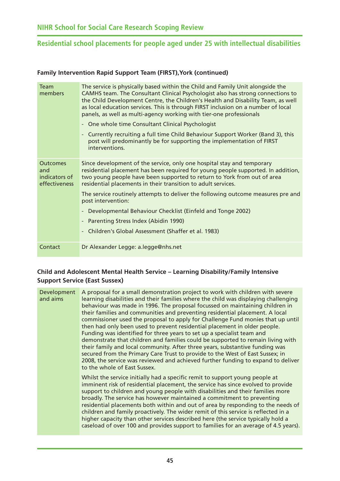#### **Family Intervention Rapid Support Team (FIRST),York (continued)**

| Team<br>members                                          | The service is physically based within the Child and Family Unit alongside the<br>CAMHS team. The Consultant Clinical Psychologist also has strong connections to<br>the Child Development Centre, the Children's Health and Disability Team, as well<br>as local education services. This is through FIRST inclusion on a number of local<br>panels, as well as multi-agency working with tier-one professionals<br>- One whole time Consultant Clinical Psychologist<br>Currently recruiting a full time Child Behaviour Support Worker (Band 3), this<br>post will predominantly be for supporting the implementation of FIRST<br>interventions. |
|----------------------------------------------------------|-----------------------------------------------------------------------------------------------------------------------------------------------------------------------------------------------------------------------------------------------------------------------------------------------------------------------------------------------------------------------------------------------------------------------------------------------------------------------------------------------------------------------------------------------------------------------------------------------------------------------------------------------------|
| <b>Outcomes</b><br>and<br>indicators of<br>effectiveness | Since development of the service, only one hospital stay and temporary<br>residential placement has been required for young people supported. In addition,<br>two young people have been supported to return to York from out of area<br>residential placements in their transition to adult services.                                                                                                                                                                                                                                                                                                                                              |
|                                                          | The service routinely attempts to deliver the following outcome measures pre and<br>post intervention:                                                                                                                                                                                                                                                                                                                                                                                                                                                                                                                                              |
|                                                          | Developmental Behaviour Checklist (Einfeld and Tonge 2002)                                                                                                                                                                                                                                                                                                                                                                                                                                                                                                                                                                                          |
|                                                          | - Parenting Stress Index (Abidin 1990)                                                                                                                                                                                                                                                                                                                                                                                                                                                                                                                                                                                                              |
|                                                          | - Children's Global Assessment (Shaffer et al. 1983)                                                                                                                                                                                                                                                                                                                                                                                                                                                                                                                                                                                                |
| Contact                                                  | Dr Alexander Legge: a.legge@nhs.net                                                                                                                                                                                                                                                                                                                                                                                                                                                                                                                                                                                                                 |

#### **Child and Adolescent Mental Health Service – Learning Disability/Family Intensive Support Service (East Sussex)**

| Development<br>and aims | A proposal for a small demonstration project to work with children with severe<br>learning disabilities and their families where the child was displaying challenging<br>behaviour was made in 1996. The proposal focussed on maintaining children in<br>their families and communities and preventing residential placement. A local<br>commissioner used the proposal to apply for Challenge Fund monies that up until<br>then had only been used to prevent residential placement in older people.<br>Funding was identified for three years to set up a specialist team and<br>demonstrate that children and families could be supported to remain living with<br>their family and local community. After three years, substantive funding was<br>secured from the Primary Care Trust to provide to the West of East Sussex; in<br>2008, the service was reviewed and achieved further funding to expand to deliver<br>to the whole of East Sussex. |
|-------------------------|---------------------------------------------------------------------------------------------------------------------------------------------------------------------------------------------------------------------------------------------------------------------------------------------------------------------------------------------------------------------------------------------------------------------------------------------------------------------------------------------------------------------------------------------------------------------------------------------------------------------------------------------------------------------------------------------------------------------------------------------------------------------------------------------------------------------------------------------------------------------------------------------------------------------------------------------------------|
|                         | Whilst the service initially had a specific remit to support young people at<br>imminent risk of residential placement, the service has since evolved to provide<br>support to children and young people with disabilities and their families more<br>broadly. The service has however maintained a commitment to preventing<br>residential placements both within and out of area by responding to the needs of<br>children and family proactively. The wider remit of this service is reflected in a<br>higher capacity than other services described here (the service typically hold a<br>caseload of over 100 and provides support to families for an average of 4.5 years).                                                                                                                                                                                                                                                                       |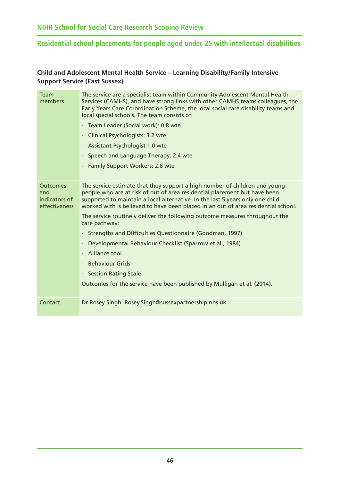#### <span id="page-50-0"></span>**Child and Adolescent Mental Health Service – Learning Disability/Family Intensive Support Service (East Sussex)**

| Team<br>members                                          | The service are a specialist team within Community Adolescent Mental Health<br>Services (CAMHS), and have strong links with other CAMHS teams colleagues, the<br>Early Years Care Co-ordination Scheme, the local social care disability teams and<br>local special schools. The team consists of:                            |
|----------------------------------------------------------|-------------------------------------------------------------------------------------------------------------------------------------------------------------------------------------------------------------------------------------------------------------------------------------------------------------------------------|
|                                                          | - Team Leader (Social work): 0.8 wte                                                                                                                                                                                                                                                                                          |
|                                                          | Clinical Psychologists: 3.2 wte                                                                                                                                                                                                                                                                                               |
|                                                          | <b>Assistant Psychologist 1.0 wte</b>                                                                                                                                                                                                                                                                                         |
|                                                          | Speech and Language Therapy: 2.4 wte                                                                                                                                                                                                                                                                                          |
|                                                          | <b>Family Support Workers: 2.8 wte</b>                                                                                                                                                                                                                                                                                        |
|                                                          |                                                                                                                                                                                                                                                                                                                               |
| <b>Outcomes</b><br>and<br>indicators of<br>effectiveness | The service estimate that they support a high number of children and young<br>people who are at risk of out of area residential placement but have been<br>supported to maintain a local alternative. In the last 5 years only one child<br>worked with is believed to have been placed in an out of area residential school. |
|                                                          | The service routinely deliver the following outcome measures throughout the<br>care pathway:                                                                                                                                                                                                                                  |
|                                                          | Strengths and Difficulties Questionnaire (Goodman, 1997)                                                                                                                                                                                                                                                                      |
|                                                          | Developmental Behaviour Checklist (Sparrow et al., 1984)                                                                                                                                                                                                                                                                      |
|                                                          | Alliance tool                                                                                                                                                                                                                                                                                                                 |
|                                                          | <b>Behaviour Grids</b>                                                                                                                                                                                                                                                                                                        |
|                                                          | <b>Session Rating Scale</b>                                                                                                                                                                                                                                                                                                   |
|                                                          | Outcomes for the service have been published by Mulligan et al. (2014).                                                                                                                                                                                                                                                       |
| Contact                                                  | Dr Rosey Singh: Rosey.Singh@sussexpartnership.nhs.uk                                                                                                                                                                                                                                                                          |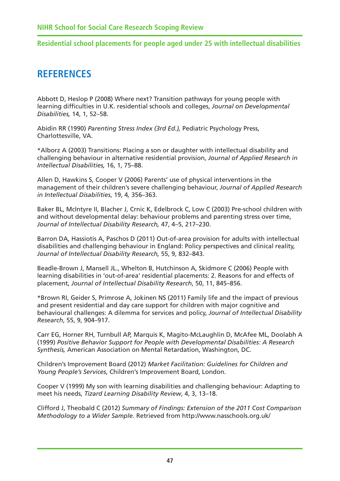# **REFERENCES**

Abbott D, Heslop P (2008) Where next? Transition pathways for young people with learning difficulties in U.K. residential schools and colleges, *Journal on Developmental Disabilities,* 14, 1, 52–58.

Abidin RR (1990) *Parenting Stress Index (3rd Ed.),* Pediatric Psychology Press, Charlottesville, VA.

\*Alborz A (2003) Transitions: Placing a son or daughter with intellectual disability and challenging behaviour in alternative residential provision, *Journal of Applied Research in Intellectual Disabilities,* 16, 1, 75–88.

Allen D, Hawkins S, Cooper V (2006) Parents' use of physical interventions in the management of their children's severe challenging behaviour, *Journal of Applied Research in Intellectual Disabilities*, 19, 4*,* 356–363.

Baker BL, McIntyre II, Blacher J, Crnic K, Edelbrock C, Low C (2003) Pre-school children with and without developmental delay: behaviour problems and parenting stress over time, *Journal of Intellectual Disability Research,* 47, 4–5, 217–230.

Barron DA, Hassiotis A, Paschos D (2011) Out-of-area provision for adults with intellectual disabilities and challenging behaviour in England: Policy perspectives and clinical reality, *Journal of Intellectual Disability Research,* 55, 9, 832–843.

Beadle-Brown J, Mansell JL., Whelton B, Hutchinson A, Skidmore C (2006) People with learning disabilities in 'out-of-area' residential placements: 2. Reasons for and effects of placement, *Journal of Intellectual Disability Research*, 50, 11, 845–856.

\*Brown RI, Geider S, Primrose A, Jokinen NS (2011) Family life and the impact of previous and present residential and day care support for children with major cognitive and behavioural challenges: A dilemma for services and policy, *Journal of Intellectual Disability Research*, 55, 9, 904–917.

Carr EG, Horner RH, Turnbull AP, Marquis K, Magito-McLaughlin D, McAfee ML, Doolabh A (1999) *Positive Behavior Support for People with Developmental Disabilities: A Research Synthesis,* American Association on Mental Retardation, Washington, DC.

Children's Improvement Board (2012) *Market Facilitation: Guidelines for Children and Young People's Services*, Children's Improvement Board, London.

Cooper V (1999) My son with learning disabilities and challenging behaviour: Adapting to meet his needs, *Tizard Learning Disability Review*, 4, 3, 13–18.

Clifford J, Theobald C (2012) *Summary of Findings: Extension of the 2011 Cost Comparison Methodology to a Wider Sample.* Retrieved from <http://www.nasschools.org.uk/>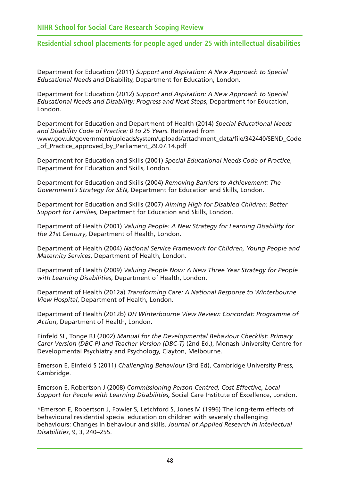Department for Education (2011) *Support and Aspiration: A New Approach to Special Educational Needs and* Disability, Department for Education, London.

Department for Education (2012) *Support and Aspiration: A New Approach to Special Educational Needs and Disability: Progress and Next Steps*, Department for Education, London.

Department for Education and Department of Health (2014) *Special Educational Needs and Disability Code of Practice: 0 to 25 Years.* Retrieved from [www.gov.uk/government/uploads/system/uploads/attachment\\_data/file/342440/SEND\\_Code](http://www.gov.uk/government/uploads/system/uploads/attachment_data/file/342440/SEND_Code_of_Practice_approved_by_Parliament_29.07.14.pdf) \_of\_Practice\_approved\_by\_Parliament\_29.07.14.pdf

Department for Education and Skills (2001) *Special Educational Needs Code of Practice*, Department for Education and Skills, London.

Department for Education and Skills (2004) *Removing Barriers to Achievement: The Government's Strategy for SEN*, Department for Education and Skills, London.

Department for Education and Skills (2007) *Aiming High for Disabled Children: Better Support for Families*, Department for Education and Skills, London.

Department of Health (2001) *Valuing People: A New Strategy for Learning Disability for the 21*st *Century*, Department of Health, London.

Department of Health (2004) *National Service Framework for Children, Young People and Maternity Services*, Department of Health, London.

Department of Health (2009) *Valuing People Now: A New Three Year Strategy for People with Learning Disabilities*, Department of Health, London.

Department of Health (2012a) *Transforming Care: A National Response to Winterbourne View Hospital*, Department of Health, London.

Department of Health (2012b) *DH Winterbourne View Review: Concordat: Programme of Action*, Department of Health, London.

Einfeld SL, Tonge BJ (2002) *Manual for the Developmental Behaviour Checklist: Primary Carer Version (DBC-P) and Teacher Version (DBC-T)* (2nd Ed.), Monash University Centre for Developmental Psychiatry and Psychology, Clayton, Melbourne.

Emerson E, Einfeld S (2011) *Challenging Behaviour* (3rd Ed), Cambridge University Press, Cambridge.

Emerson E, Robertson J (2008) *Commissioning Person-Centred, Cost-Effective, Local Support for People with Learning Disabilities,* Social Care Institute of Excellence, London.

\*Emerson E, Robertson J, Fowler S, Letchford S, Jones M (1996) The long-term effects of behavioural residential special education on children with severely challenging behaviours: Changes in behaviour and skills, *Journal of Applied Research in Intellectual Disabilities*, 9, 3, 240–255.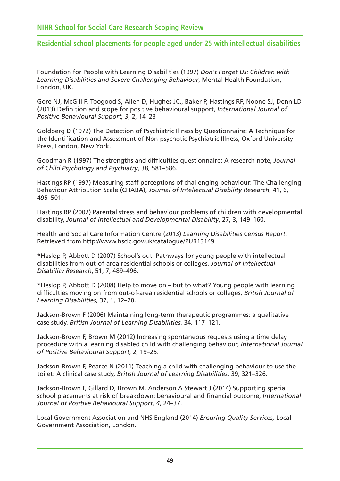Foundation for People with Learning Disabilities (1997) *Don't Forget Us: Children with Learning Disabilities and Severe Challenging Behaviour*, Mental Health Foundation, London, UK.

Gore NJ, McGill P, Toogood S, Allen D, Hughes JC., Baker P, Hastings RP, Noone SJ, Denn LD (2013) Definition and scope for positive behavioural support, *International Journal of Positive Behavioural Support, 3*, 2, 14–23

Goldberg D (1972) The Detection of Psychiatric Illness by Questionnaire: A Technique for the Identification and Assessment of Non-psychotic Psychiatric Illness, Oxford University Press, London, New York.

Goodman R (1997) The strengths and difficulties questionnaire: A research note, *Journal of Child Psychology and Psychiatry*, 38, 581–586.

Hastings RP (1997) Measuring staff perceptions of challenging behaviour: The Challenging Behaviour Attribution Scale (CHABA), *Journal of Intellectual Disability Research*, 41, 6, 495–501.

Hastings RP (2002) Parental stress and behaviour problems of children with developmental disability, *Journal of Intellectual and Developmental Disability*, 27, 3, 149–160.

Health and Social Care Information Centre (2013) *Learning Disabilities Census Report*, Retrieved from<http://www.hscic.gov.uk/catalogue/PUB13149>

\*Heslop P, Abbott D (2007) School's out: Pathways for young people with intellectual disabilities from out-of-area residential schools or colleges, *Journal of Intellectual Disability Research*, 51, 7, 489–496.

\*Heslop P, Abbott D (2008) Help to move on – but to what? Young people with learning difficulties moving on from out-of-area residential schools or colleges, *British Journal of Learning Disabilities*, 37, 1, 12–20.

Jackson-Brown F (2006) Maintaining long-term therapeutic programmes: a qualitative case study, *British Journal of Learning Disabilities*, 34, 117–121.

Jackson-Brown F, Brown M (2012) Increasing spontaneous requests using a time delay procedure with a learning disabled child with challenging behaviour, *International Journal of Positive Behavioural Support*, 2, 19–25.

Jackson-Brown F, Pearce N (2011) Teaching a child with challenging behaviour to use the toilet: A clinical case study, *British Journal of Learning Disabilities*, 39, 321–326.

Jackson-Brown F, Gillard D, Brown M, Anderson A Stewart J (2014) Supporting special school placements at risk of breakdown: behavioural and financial outcome, *International Journal of Positive Behavioural Support*, *4*, 24–37.

Local Government Association and NHS England (2014) *Ensuring Quality Services,* Local Government Association, London.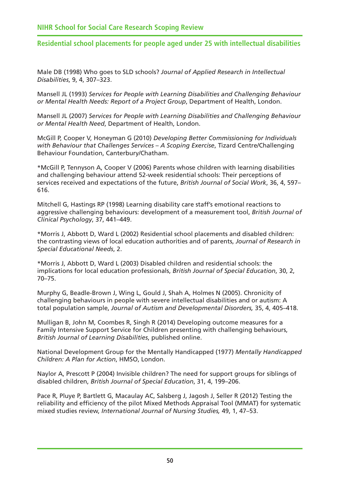Male DB (1998) Who goes to SLD schools? *Journal of Applied Research in Intellectual Disabilities*, 9, 4, 307–323.

Mansell JL (1993) *Services for People with Learning Disabilities and Challenging Behaviour or Mental Health Needs: Report of a Project Group*, Department of Health, London.

Mansell JL (2007) *Services for People with Learning Disabilities and Challenging Behaviour or Mental Health Need*, Department of Health, London.

McGill P, Cooper V, Honeyman G (2010) *Developing Better Commissioning for Individuals with Behaviour that Challenges Services – A Scoping Exercise*, Tizard Centre/Challenging Behaviour Foundation, Canterbury/Chatham.

\*McGill P, Tennyson A, Cooper V (2006) Parents whose children with learning disabilities and challenging behaviour attend 52-week residential schools: Their perceptions of services received and expectations of the future, *British Journal of Social Work*, 36, 4, 597– 616.

Mitchell G, Hastings RP (1998) Learning disability care staff's emotional reactions to aggressive challenging behaviours: development of a measurement tool, *British Journal of Clinical Psychology*, 37, 441–449.

\*Morris J, Abbott D, Ward L (2002) Residential school placements and disabled children: the contrasting views of local education authorities and of parents, *Journal of Research in Special Educational Needs*, 2.

\*Morris J, Abbott D, Ward L (2003) Disabled children and residential schools: the implications for local education professionals, *British Journal of Special Education*, 30, 2, 70–75.

Murphy G, Beadle-Brown J, Wing L, Gould J, Shah A, Holmes N (2005). Chronicity of challenging behaviours in people with severe intellectual disabilities and or autism: A total population sample, *Journal of Autism and Developmental Disorders,* 35, 4, 405–418.

Mulligan B, John M, Coombes R, Singh R (2014) Developing outcome measures for a Family Intensive Support Service for Children presenting with challenging behaviours, *British Journal of Learning Disabilities*, published online.

National Development Group for the Mentally Handicapped (1977) *Mentally Handicapped Children: A Plan for Action*, HMSO, London.

Naylor A, Prescott P (2004) Invisible children? The need for support groups for siblings of disabled children, *British Journal of Special Education*, 31, 4, 199–206.

Pace R, Pluye P, Bartlett G, Macaulay AC, Salsberg J, Jagosh J, Seller R (2012) Testing the reliability and efficiency of the pilot Mixed Methods Appraisal Tool (MMAT) for systematic mixed studies review, *International Journal of Nursing Studies,* 49, 1, 47–53.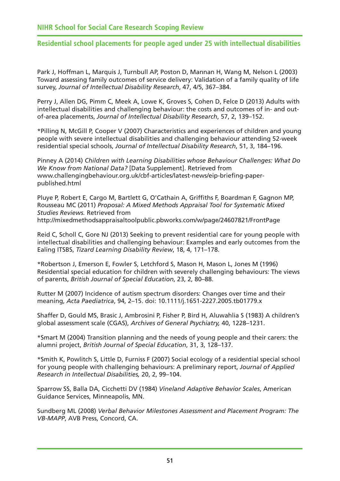Park J, Hoffman L, Marquis J, Turnbull AP, Poston D, Mannan H, Wang M, Nelson L (2003) Toward assessing family outcomes of service delivery: Validation of a family quality of life survey, *Journal of Intellectual Disability Research*, 47, 4/5, 367–384.

Perry J, Allen DG, Pimm C, Meek A, Lowe K, Groves S, Cohen D, Felce D (2013) Adults with intellectual disabilities and challenging behaviour: the costs and outcomes of in- and outof-area placements, *Journal of Intellectual Disability Research*, 57, 2, 139–152.

\*Pilling N, McGill P, Cooper V (2007) Characteristics and experiences of children and young people with severe intellectual disabilities and challenging behaviour attending 52-week residential special schools, *Journal of Intellectual Disability Research*, 51, 3, 184–196.

Pinney A (2014) *Children with Learning Disabilities whose Behaviour Challenges: What Do We Know from National Data?* [Data Supplement]. Retrieved from [www.challengingbehaviour.org.uk/cbf-articles/latest-news/eip-briefing-paper](http://www.challengingbehaviour.org.uk/cbf-articles/latest-news/eip-briefing-paper-published.html)published[.html](http://www.challengingbehaviour.org.uk/cbf-articles/latest-news/eip-briefing-paper-published.html) 

Pluye P, Robert E, Cargo M, Bartlett G, O'Cathain A, Griffiths F, Boardman F, Gagnon MP, Rousseau MC (2011) *Proposal: A Mixed Methods Appraisal Tool for Systematic Mixed Studies Reviews.* Retrieved from <http://mixedmethodsappraisaltoolpublic.pbworks.com/w/page/24607821/FrontPage>

Reid C, Scholl C, Gore NJ (2013) Seeking to prevent residential care for young people with intellectual disabilities and challenging behaviour: Examples and early outcomes from the Ealing ITSBS, *Tizard Learning Disability Review*, 18, 4, 171–178.

\*Robertson J, Emerson E, Fowler S, Letchford S, Mason H, Mason L, Jones M (1996) Residential special education for children with severely challenging behaviours: The views of parents, *British Journal of Special Education*, 23, 2, 80–88.

Rutter M (2007) Incidence of autism spectrum disorders: Changes over time and their meaning, *Acta Paediatrica*, 94, 2–15. doi: 10.1111/j.1651-2227.2005.tb01779.x

Shaffer D, Gould MS, Brasic J, Ambrosini P, Fisher P, Bird H, Aluwahlia S (1983) A children's global assessment scale (CGAS), *Archives of General Psychiatry,* 40, 1228–1231.

\*Smart M (2004) Transition planning and the needs of young people and their carers: the alumni project, *British Journal of Special Education*, 31, 3, 128–137.

\*Smith K, Powlitch S, Little D, Furniss F (2007) Social ecology of a residential special school for young people with challenging behaviours: A preliminary report, *Journal of Applied Research in Intellectual Disabilities,* 20, 2, 99–104.

Sparrow SS, Balla DA, Cicchetti DV (1984) *Vineland Adaptive Behavior Scales*, American Guidance Services, Minneapolis, MN.

Sundberg ML (2008) *Verbal Behavior Milestones Assessment and Placement Program: The VB-MAPP*, AVB Press, Concord, CA.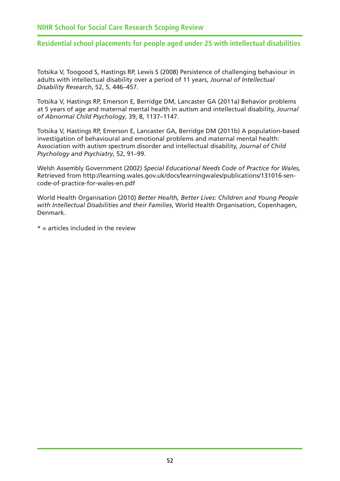Totsika V, Toogood S, Hastings RP, Lewis S (2008) Persistence of challenging behaviour in adults with intellectual disability over a period of 11 years, *Journal of Intellectual Disability Research*, 52, 5, 446–457.

Totsika V, Hastings RP, Emerson E, Berridge DM, Lancaster GA (2011a) Behavior problems at 5 years of age and maternal mental health in autism and intellectual disability, *Journal of Abnormal Child Psychology*, 39, 8, 1137–1147.

Totsika V, Hastings RP, Emerson E, Lancaster GA, Berridge DM (2011b) A population-based investigation of behavioural and emotional problems and maternal mental health: Association with autism spectrum disorder and intellectual disability, *Journal of Child Psychology and Psychiatry*, 52, 91–99.

Welsh Assembly Government (2002) *Special Educational Needs Code of Practice for Wales,* [Retrieved from http://learning.wales.gov.uk/docs/learningwales/publications/131016-sen](http://learning.wales.gov.uk/docs/learningwales/publications/131016-sen-code-of-practice-for-wales-en.pdf)code[-of-practice-for-wales-en.pdf](http://learning.wales.gov.uk/docs/learningwales/publications/131016-sen-code-of-practice-for-wales-en.pdf) 

World Health Organisation (2010) *Better Health, Better Lives: Children and Young People with Intellectual Disabilities and their Families*, World Health Organisation, Copenhagen, Denmark.

 $* =$  articles included in the review